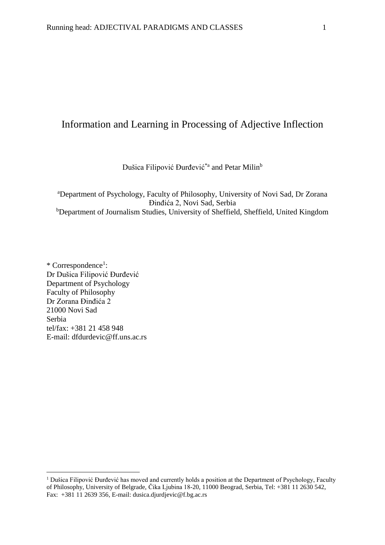## Information and Learning in Processing of Adjective Inflection

Dušica Filipović Đurđević<sup>\*a</sup> and Petar Milin<sup>b</sup>

<sup>a</sup>Department of Psychology, Faculty of Philosophy, University of Novi Sad, Dr Zorana Đinđića 2, Novi Sad, Serbia <sup>b</sup>Department of Journalism Studies, University of Sheffield, Sheffield, United Kingdom

\* Correspondence<sup>1</sup> : Dr Dušica Filipović Đurđević Department of Psychology Faculty of Philosophy Dr Zorana Đinđića 2 21000 Novi Sad Serbia tel/fax: +381 21 458 948 E-mail: dfdurdevic@ff.uns.ac.rs

<u>.</u>

<sup>1</sup> Dušica Filipović Đurđević has moved and currently holds a position at the Department of Psychology, Faculty of Philosophy, University of Belgrade, Čika Ljubina 18-20, 11000 Beograd, Serbia, Tel: +381 11 2630 542, Fax: +381 11 2639 356, E-mail: dusica.djurdjevic@f.bg.ac.rs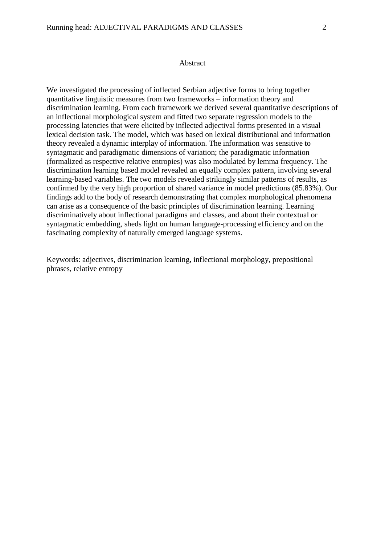#### Abstract

We investigated the processing of inflected Serbian adjective forms to bring together quantitative linguistic measures from two frameworks – information theory and discrimination learning. From each framework we derived several quantitative descriptions of an inflectional morphological system and fitted two separate regression models to the processing latencies that were elicited by inflected adjectival forms presented in a visual lexical decision task. The model, which was based on lexical distributional and information theory revealed a dynamic interplay of information. The information was sensitive to syntagmatic and paradigmatic dimensions of variation; the paradigmatic information (formalized as respective relative entropies) was also modulated by lemma frequency. The discrimination learning based model revealed an equally complex pattern, involving several learning-based variables. The two models revealed strikingly similar patterns of results, as confirmed by the very high proportion of shared variance in model predictions (85.83%). Our findings add to the body of research demonstrating that complex morphological phenomena can arise as a consequence of the basic principles of discrimination learning. Learning discriminatively about inflectional paradigms and classes, and about their contextual or syntagmatic embedding, sheds light on human language-processing efficiency and on the fascinating complexity of naturally emerged language systems.

Keywords: adjectives, discrimination learning, inflectional morphology, prepositional phrases, relative entropy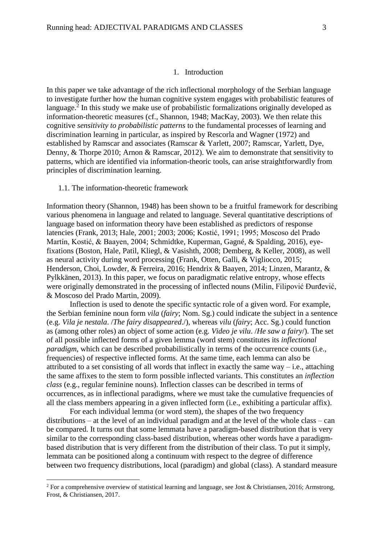#### 1. Introduction

In this paper we take advantage of the rich inflectional morphology of the Serbian language to investigate further how the human cognitive system engages with probabilistic features of language.<sup>2</sup> In this study we make use of probabilistic formalizations originally developed as information-theoretic measures (cf., Shannon, 1948; MacKay, 2003). We then relate this cognitive *sensitivity to probabilistic patterns* to the fundamental processes of learning and discrimination learning in particular, as inspired by Rescorla and Wagner (1972) and established by Ramscar and associates (Ramscar & Yarlett, 2007; Ramscar, Yarlett, Dye, Denny, & Thorpe 2010; Arnon & Ramscar, 2012). We aim to demonstrate that sensitivity to patterns, which are identified via information-theoric tools, can arise straightforwardly from principles of discrimination learning.

#### 1.1. The information-theoretic framework

1

Information theory (Shannon, 1948) has been shown to be a fruitful framework for describing various phenomena in language and related to language. Several quantitative descriptions of language based on information theory have been established as predictors of response latencies (Frank, 2013; Hale, 2001; 2003; 2006; Kostić, 1991; 1995; Moscoso del Prado Martín, Kostić, & Baayen, 2004; Schmidtke, Kuperman, Gagné, & Spalding, 2016), eyefixations (Boston, Hale, Patil, Kliegl, & Vasishth, 2008; Demberg, & Keller, 2008), as well as neural activity during word processing (Frank, Otten, Galli, & Vigliocco, 2015; Henderson, Choi, Lowder, & Ferreira, 2016; Hendrix & Baayen, 2014; Linzen, Marantz, & Pylkkänen, 2013). In this paper, we focus on paradigmatic relative entropy, whose effects were originally demonstrated in the processing of inflected nouns (Milin, Filipović Đurđević, & Moscoso del Prado Martin, 2009).

Inflection is used to denote the specific syntactic role of a given word. For example, the Serbian feminine noun form *vila* (*fairy*; Nom. Sg.) could indicate the subject in a sentence (e.g. *Vila je nestala*. /*The fairy disappeared*./), whereas *vilu* (*fairy*; Acc. Sg.) could function as (among other roles) an object of some action (e.g. *Video je vilu*. /*He saw a fairy*/). The set of all possible inflected forms of a given lemma (word stem) constitutes its *inflectional paradigm*, which can be described probabilistically in terms of the occurrence counts (i.e., frequencies) of respective inflected forms. At the same time, each lemma can also be attributed to a set consisting of all words that inflect in exactly the same way  $-$  i.e., attaching the same affixes to the stem to form possible inflected variants. This constitutes an *inflection class* (e.g., regular feminine nouns). Inflection classes can be described in terms of occurrences, as in inflectional paradigms, where we must take the cumulative frequencies of all the class members appearing in a given inflected form (i.e., exhibiting a particular affix).

For each individual lemma (or word stem), the shapes of the two frequency distributions – at the level of an individual paradigm and at the level of the whole class – can be compared. It turns out that some lemmata have a paradigm-based distribution that is very similar to the corresponding class-based distribution, whereas other words have a paradigmbased distribution that is very different from the distribution of their class. To put it simply, lemmata can be positioned along a continuum with respect to the degree of difference between two frequency distributions, local (paradigm) and global (class). A standard measure

<sup>2</sup> For a comprehensive overview of statistical learning and language, see Jost & Christiansen, 2016; Armstrong, Frost, & Christiansen, 2017.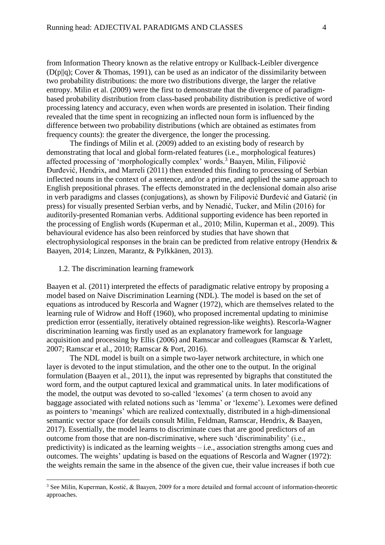from Information Theory known as the relative entropy or Kullback-Leibler divergence  $(D(p||q))$ ; Cover & Thomas, 1991), can be used as an indicator of the dissimilarity between two probability distributions: the more two distributions diverge, the larger the relative entropy. Milin et al. (2009) were the first to demonstrate that the divergence of paradigmbased probability distribution from class-based probability distribution is predictive of word processing latency and accuracy, even when words are presented in isolation. Their finding revealed that the time spent in recognizing an inflected noun form is influenced by the difference between two probability distributions (which are obtained as estimates from frequency counts): the greater the divergence, the longer the processing.

The findings of Milin et al. (2009) added to an existing body of research by demonstrating that local and global form-related features (i.e., morphological features) affected processing of 'morphologically complex' words. <sup>3</sup> Baayen, Milin, Filipović Đurđević, Hendrix, and Marreli (2011) then extended this finding to processing of Serbian inflected nouns in the context of a sentence, and/or a prime, and applied the same approach to English prepositional phrases. The effects demonstrated in the declensional domain also arise in verb paradigms and classes (conjugations), as shown by Filipović Đurđević and Gatarić (in press) for visually presented Serbian verbs, and by Nenadić, Tucker, and Milin (2016) for auditorily-presented Romanian verbs. Additional supporting evidence has been reported in the processing of English words (Kuperman et al., 2010; Milin, Kuperman et al., 2009). This behavioural evidence has also been reinforced by studies that have shown that electrophysiological responses in the brain can be predicted from relative entropy (Hendrix & Baayen, 2014; Linzen, Marantz, & Pylkkänen, 2013).

1.2. The discrimination learning framework

1

Baayen et al. (2011) interpreted the effects of paradigmatic relative entropy by proposing a model based on Naive Discrimination Learning (NDL). The model is based on the set of equations as introduced by Rescorla and Wagner (1972), which are themselves related to the learning rule of Widrow and Hoff (1960), who proposed incremental updating to minimise prediction error (essentially, iteratively obtained regression-like weights). Rescorla-Wagner discrimination learning was firstly used as an explanatory framework for language acquisition and processing by Ellis (2006) and Ramscar and colleagues (Ramscar & Yarlett, 2007; Ramscar et al., 2010; Ramscar & Port, 2016).

The NDL model is built on a simple two-layer network architecture, in which one layer is devoted to the input stimulation, and the other one to the output. In the original formulation (Baayen et al., 2011), the input was represented by bigraphs that constituted the word form, and the output captured lexical and grammatical units. In later modifications of the model, the output was devoted to so-called 'lexomes' (a term chosen to avoid any baggage associated with related notions such as 'lemma' or 'lexeme'). Lexomes were defined as pointers to 'meanings' which are realized contextually, distributed in a high-dimensional semantic vector space (for details consult Milin, Feldman, Ramscar, Hendrix, & Baayen, 2017). Essentially, the model learns to discriminate cues that are good predictors of an outcome from those that are non-discriminative, where such 'discriminability' (i.e., predictivity) is indicated as the learning weights – i.e., association strengths among cues and outcomes. The weights' updating is based on the equations of Rescorla and Wagner (1972): the weights remain the same in the absence of the given cue, their value increases if both cue

<sup>3</sup> See Milin, Kuperman, Kostić, & Baayen, 2009 for a more detailed and formal account of information-theoretic approaches.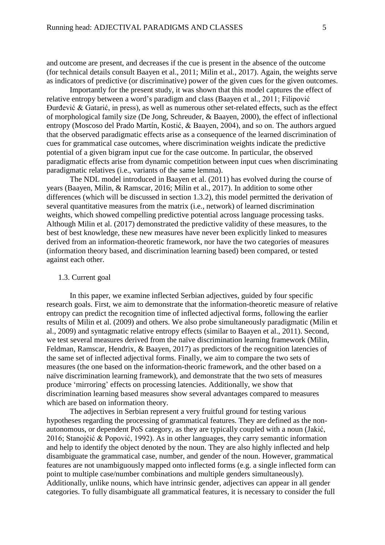and outcome are present, and decreases if the cue is present in the absence of the outcome (for technical details consult Baayen et al., 2011; Milin et al., 2017). Again, the weights serve as indicators of predictive (or discriminative) power of the given cues for the given outcomes.

Importantly for the present study, it was shown that this model captures the effect of relative entropy between a word's paradigm and class (Baayen et al., 2011; Filipović Đurđević & Gatarić, in press), as well as numerous other set-related effects, such as the effect of morphological family size (De Jong, Schreuder, & Baayen, 2000), the effect of inflectional entropy (Moscoso del Prado Martín, Kostić, & Baayen, 2004), and so on. The authors argued that the observed paradigmatic effects arise as a consequence of the learned discrimination of cues for grammatical case outcomes, where discrimination weights indicate the predictive potential of a given bigram input cue for the case outcome. In particular, the observed paradigmatic effects arise from dynamic competition between input cues when discriminating paradigmatic relatives (i.e., variants of the same lemma).

The NDL model introduced in Baayen et al. (2011) has evolved during the course of years (Baayen, Milin, & Ramscar, 2016; Milin et al., 2017). In addition to some other differences (which will be discussed in section 1.3.2), this model permitted the derivation of several quantitative measures from the matrix (i.e., network) of learned discrimination weights, which showed compelling predictive potential across language processing tasks. Although Milin et al. (2017) demonstrated the predictive validity of these measures, to the best of best knowledge, these new measures have never been explicitly linked to measures derived from an information-theoretic framework, nor have the two categories of measures (information theory based, and discrimination learning based) been compared, or tested against each other.

#### 1.3. Current goal

In this paper, we examine inflected Serbian adjectives, guided by four specific research goals. First, we aim to demonstrate that the information-theoretic measure of relative entropy can predict the recognition time of inflected adjectival forms, following the earlier results of Milin et al. (2009) and others. We also probe simultaneously paradigmatic (Milin et al., 2009) and syntagmatic relative entropy effects (similar to Baayen et al., 2011). Second, we test several measures derived from the naïve discrimination learning framework (Milin, Feldman, Ramscar, Hendrix, & Baayen, 2017) as predictors of the recognition latencies of the same set of inflected adjectival forms. Finally, we aim to compare the two sets of measures (the one based on the information-theoric framework, and the other based on a naïve discrimination learning framework), and demonstrate that the two sets of measures produce 'mirroring' effects on processing latencies. Additionally, we show that discrimination learning based measures show several advantages compared to measures which are based on information theory.

The adjectives in Serbian represent a very fruitful ground for testing various hypotheses regarding the processing of grammatical features. They are defined as the nonautonomous, or dependent PoS category, as they are typically coupled with a noun (Jakić, 2016; Stanojčić & Popović, 1992). As in other languages, they carry semantic information and help to identify the object denoted by the noun. They are also highly inflected and help disambiguate the grammatical case, number, and gender of the noun. However, grammatical features are not unambiguously mapped onto inflected forms (e.g. a single inflected form can point to multiple case/number combinations and multiple genders simultaneously). Additionally, unlike nouns, which have intrinsic gender, adjectives can appear in all gender categories. To fully disambiguate all grammatical features, it is necessary to consider the full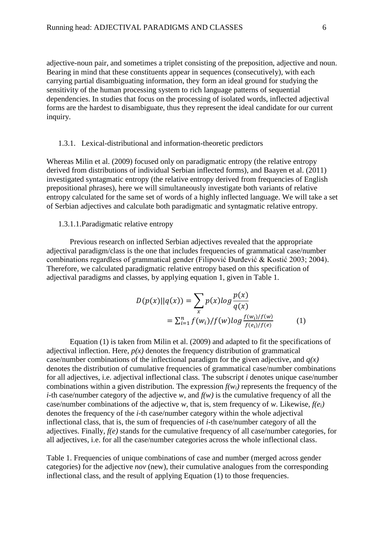adjective-noun pair, and sometimes a triplet consisting of the preposition, adjective and noun. Bearing in mind that these constituents appear in sequences (consecutively), with each carrying partial disambiguating information, they form an ideal ground for studying the sensitivity of the human processing system to rich language patterns of sequential dependencies. In studies that focus on the processing of isolated words, inflected adjectival forms are the hardest to disambiguate, thus they represent the ideal candidate for our current inquiry.

#### 1.3.1. Lexical-distributional and information-theoretic predictors

Whereas Milin et al. (2009) focused only on paradigmatic entropy (the relative entropy derived from distributions of individual Serbian inflected forms), and Baayen et al. (2011) investigated syntagmatic entropy (the relative entropy derived from frequencies of English prepositional phrases), here we will simultaneously investigate both variants of relative entropy calculated for the same set of words of a highly inflected language. We will take a set of Serbian adjectives and calculate both paradigmatic and syntagmatic relative entropy.

## 1.3.1.1.Paradigmatic relative entropy

Previous research on inflected Serbian adjectives revealed that the appropriate adjectival paradigm/class is the one that includes frequencies of grammatical case/number combinations regardless of grammatical gender (Filipović Đurđević & Kostić 2003; 2004). Therefore, we calculated paradigmatic relative entropy based on this specification of adjectival paradigms and classes, by applying equation 1, given in Table 1.

$$
D(p(x)||q(x)) = \sum_{x} p(x) \log \frac{p(x)}{q(x)}
$$
  
= 
$$
\sum_{i=1}^{n} f(w_i) / f(w) \log \frac{f(w_i) / f(w)}{f(e_i) / f(e)}
$$
(1)

Equation (1) is taken from Milin et al. (2009) and adapted to fit the specifications of adjectival inflection. Here,  $p(x)$  denotes the frequency distribution of grammatical case/number combinations of the inflectional paradigm for the given adjective, and *q(x)* denotes the distribution of cumulative frequencies of grammatical case/number combinations for all adjectives, i.e. adjectival inflectional class. The subscript *i* denotes unique case/number combinations within a given distribution. The expression  $f(w_i)$  represents the frequency of the *i*-th case/number category of the adjective *w*, and  $f(w)$  is the cumulative frequency of all the case/number combinations of the adjective *w*, that is, stem frequency of *w*. Likewise,  $f(e_i)$ denotes the frequency of the *i*-th case/number category within the whole adjectival inflectional class, that is, the sum of frequencies of *i*-th case/number category of all the adjectives. Finally, *f(e)* stands for the cumulative frequency of all case/number categories, for all adjectives, i.e. for all the case/number categories across the whole inflectional class.

Table 1. Frequencies of unique combinations of case and number (merged across gender categories) for the adjective *nov* (new), their cumulative analogues from the corresponding inflectional class, and the result of applying Equation (1) to those frequencies.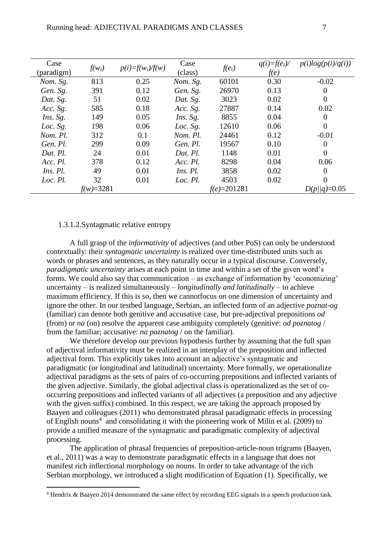| Case<br>(paradigm) | $f(w_i)$    | $p(i)=f(w_i)/f(w)$ | Case<br>(class) | $f(e_i)$      | $q(i)=f(e_i)$<br>f(e) | p(i)log(p(i)/q(i)) |
|--------------------|-------------|--------------------|-----------------|---------------|-----------------------|--------------------|
| Nom. Sg.           | 813         | 0.25               | Nom. Sg.        | 60101         | 0.30                  | $-0.02$            |
| Gen. Sg.           | 391         | 0.12               | Gen. Sg.        | 26970         | 0.13                  | 0                  |
| Dat. Sg.           | 51          | 0.02               | Dat. Sg.        | 3023          | 0.02                  | $\overline{0}$     |
| Acc. Sg.           | 585         | 0.18               | Acc. Sg.        | 27887         | 0.14                  | 0.02               |
| Ins. Sg.           | 149         | 0.05               | Ins. Sg.        | 8855          | 0.04                  | $\theta$           |
| Loc. Sg.           | 198         | 0.06               | Loc. Sg.        | 12610         | 0.06                  | $\overline{0}$     |
| Nom. Pl.           | 312         | 0.1                | Nom. Pl.        | 24461         | 0.12                  | $-0.01$            |
| Gen. Pl.           | 299         | 0.09               | Gen. Pl.        | 19567         | 0.10                  | $\overline{0}$     |
| Dat. Pl.           | 24          | 0.01               | Dat. Pl.        | 1148          | 0.01                  | $\overline{0}$     |
| Acc. Pl.           | 378         | 0.12               | Acc. Pl.        | 8298          | 0.04                  | 0.06               |
| Ins. Pl.           | 49          | 0.01               | Ins. Pl.        | 3858          | 0.02                  | $\theta$           |
| Loc. Pl.           | 32          | 0.01               | Loc. Pl.        | 4503          | 0.02                  | $\theta$           |
|                    | $f(w)=3281$ |                    |                 | $f(e)=201281$ |                       | $D(p/ q) = 0.05$   |

#### 1.3.1.2.Syntagmatic relative entropy

1

A full grasp of the *informativity* of adjectives (and other PoS) can only be understood contextually: their *syntagmatic uncertainty* is realized over time-distributed units such as words or phrases and sentences, as they naturally occur in a typical discourse. Conversely, *paradigmatic uncertainty* arises at each point in time and within a set of the given word's forms. We could also say that communication – as exchange of information by 'economizing' uncertainty – is realized simultaneously – *longitudinally and latitudinally* – to achieve maximum efficiency. If this is so, then we cannotfocus on one dimension of uncertainty and ignore the other. In our testbed language, Serbian, an inflected form of an adjective *poznat-og* (familiar) can denote both genitive and accusative case, but pre-adjectival prepositions *od* (from) or *na* (on) resolve the apparent case ambiguity completely (genitive: *od poznatog* / from the familiar; accusative: *na poznatog* / on the familiar).

We therefore develop our previous hypothesis further by assuming that the full span of adjectival informativity must be realized in an interplay of the preposition and inflected adjectival form. This explicitly takes into account an adjective's syntagmatic and paradigmatic (or longitudinal and latitudinal) uncertainty. More formally, we operationalize adjectival paradigms as the sets of pairs of co-occurring prepositions and inflected variants of the given adjective. Similarly, the global adjectival class is operationalized as the set of cooccurring prepositions and inflected variants of all adjectives (a preposition and any adjective with the given suffix) combined. In this respect, we are taking the approach proposed by Baayen and colleagues (2011) who demonstrated phrasal paradigmatic effects in processing of English nouns<sup>4</sup> and consolidating it with the pioneering work of Milin et al. (2009) to provide a unified measure of the syntagmatic and paradigmatic complexity of adjectival processing.

The application of phrasal frequencies of preposition-article-noun trigrams (Baayen, et al., 2011) was a way to demonstrate paradigmatic effects in a language that does not manifest rich inflectional morphology on nouns. In order to take advantage of the rich Serbian morphology, we introduced a slight modification of Equation (1). Specifically, we

<sup>4</sup> Hendrix & Baayen 2014 demonstrated the same effect by recording EEG signals in a speech production task.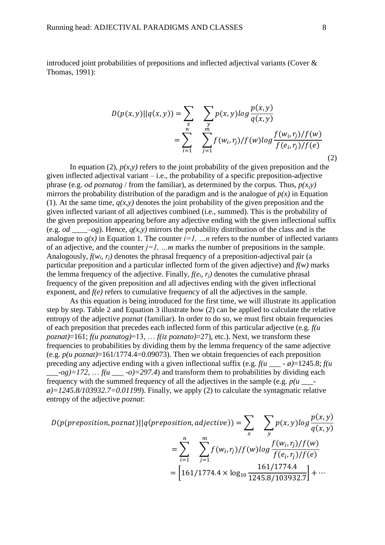introduced joint probabilities of prepositions and inflected adjectival variants (Cover & Thomas, 1991):

$$
D(p(x, y)||q(x, y)) = \sum_{\substack{x \\ y \\ z \neq 1}} \sum_{\substack{y \\ y \neq 1}} p(x, y) \log \frac{p(x, y)}{q(x, y)}
$$

$$
= \sum_{i=1}^{n} \sum_{j=1}^{m} f(w_i, r_j) / f(w) \log \frac{f(w_i, r_j) / f(w)}{f(e_i, r_j) / f(e)}
$$
(2)

In equation (2),  $p(x, y)$  refers to the joint probability of the given preposition and the given inflected adjectival variant  $-$  i.e., the probability of a specific preposition-adjective phrase (e.g. *od poznatog* / from the familiar), as determined by the corpus. Thus, *p(x,y)* mirrors the probability distribution of the paradigm and is the analogue of  $p(x)$  in Equation (1). At the same time,  $q(x, y)$  denotes the joint probability of the given preposition and the given inflected variant of all adjectives combined (i.e., summed). This is the probability of the given preposition appearing before any adjective ending with the given inflectional suffix (e.g. *od \_\_\_\_\_\_\_-og*). Hence,  $q(x, y)$  mirrors the probability distribution of the class and is the analogue to  $q(x)$  in Equation 1. The counter  $i=1, \ldots n$  refers to the number of inflected variants of an adjective, and the counter  $j=1, \ldots, m$  marks the number of prepositions in the sample. Analogously,  $f(w_i, r_i)$  denotes the phrasal frequency of a preposition-adjectival pair (a particular preposition and a particular inflected form of the given adjective) and *f(w)* marks the lemma frequency of the adjective. Finally,  $f(e_i, r_i)$  denotes the cumulative phrasal frequency of the given preposition and all adjectives ending with the given inflectional exponent, and *f(e)* refers to cumulative frequency of all the adjectives in the sample.

As this equation is being introduced for the first time, we will illustrate its application step by step. Table 2 and Equation 3 illustrate how (2) can be applied to calculate the relative entropy of the adjective *poznat* (familiar). In order to do so, we must first obtain frequencies of each preposition that precedes each inflected form of this particular adjective (e.g. *f(u poznat)*=161; *f(u poznatog)*=13, … *f(iz poznato)*=27), etc.). Next, we transform these frequencies to probabilities by dividing them by the lemma frequency of the same adjective (e.g. *p(u poznat)*=161/1774.4=0.09073). Then we obtain frequencies of each preposition preceding any adjective ending with a given inflectional suffix (e.g.  $f(u \_\_\_\_$  -  $\phi$ )=1245.8;  $f(u \_\_\_$  $-a_0 = -0.172, \ldots f(u -0) = 297.4$  and transform them to probabilities by dividing each frequency with the summed frequency of all the adjectives in the sample (e.g. *p(u \_\_\_-*  $\phi$ )=1245.8/103932.7=0.01199). Finally, we apply (2) to calculate the syntagmatic relative entropy of the adjective *poznat*:

$$
D(p(preposition, poznat)||q(preposition, adjective)) = \sum_{x} \sum_{y} p(x, y) \log \frac{p(x, y)}{q(x, y)}
$$

$$
= \sum_{i=1}^{n} \sum_{j=1}^{m} f(w_i, r_j) / f(w) \log \frac{f(w_i, r_j) / f(w)}{f(e_i, r_j) / f(e)}
$$

$$
= \left[161/1774.4 \times \log_{10} \frac{161/1774.4}{1245.8/103932.7}\right] + \cdots
$$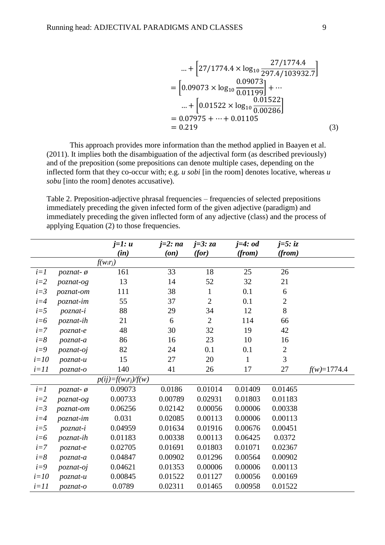$$
\begin{aligned}\n&\cdots + \left[27/1774.4 \times \log_{10} \frac{27/1774.4}{297.4/103932.7}\right] \\
&= \left[0.09073 \times \log_{10} \frac{0.09073}{0.01199}\right] + \cdots \\
&\cdots + \left[0.01522 \times \log_{10} \frac{0.01522}{0.00286}\right] \\
&= 0.07975 + \cdots + 0.01105\n\\ &= 0.219\n\end{aligned} \tag{3}
$$

This approach provides more information than the method applied in Baayen et al. (2011). It implies both the disambiguation of the adjectival form (as described previously) and of the preposition (some prepositions can denote multiple cases, depending on the inflected form that they co-occur with; e.g. *u sobi* [in the room] denotes locative, whereas *u sobu* [into the room] denotes accusative).

Table 2. Preposition-adjective phrasal frequencies – frequencies of selected prepositions immediately preceding the given infected form of the given adjective (paradigm) and immediately preceding the given inflected form of any adjective (class) and the process of applying Equation (2) to those frequencies.

|         |                   | $j=1:u$                 | $j=2:na$ | $j=3: za$      | $j=4$ : od   | $j=5$ : $iz$   |               |
|---------|-------------------|-------------------------|----------|----------------|--------------|----------------|---------------|
|         |                   | (in)                    | (0n)     | (for)          | (from)       | (from)         |               |
|         |                   | $f(w_i r_j)$            |          |                |              |                |               |
| $i=1$   | $poz$ nat- $\phi$ | 161                     | 33       | 18             | 25           | 26             |               |
| $i=2$   | poznat-og         | 13                      | 14       | 52             | 32           | 21             |               |
| $i=3$   | poznat-om         | 111                     | 38       | $\mathbf{1}$   | 0.1          | 6              |               |
| $i = 4$ | poznat-im         | 55                      | 37       | $\overline{2}$ | 0.1          | $\overline{2}$ |               |
| $i=5$   | poznat-i          | 88                      | 29       | 34             | 12           | 8              |               |
| $i=6$   | poznat-ih         | 21                      | 6        | $\overline{2}$ | 114          | 66             |               |
| $i=7$   | poznat-e          | 48                      | 30       | 32             | 19           | 42             |               |
| $i = 8$ | poznat-a          | 86                      | 16       | 23             | 10           | 16             |               |
| $i=9$   | poznat-oj         | 82                      | 24       | 0.1            | 0.1          | $\mathbf{2}$   |               |
| $i=10$  | poznat-u          | 15                      | 27       | 20             | $\mathbf{1}$ | $\overline{3}$ |               |
| $i=11$  | poznat-o          | 140                     | 41       | 26             | 17           | 27             | $f(w)=1774.4$ |
|         |                   | $p(ij)=f(w_i r_j)/f(w)$ |          |                |              |                |               |
| $i=1$   | $poz$ nat- $\phi$ | 0.09073                 | 0.0186   | 0.01014        | 0.01409      | 0.01465        |               |
| $i=2$   | poznat-og         | 0.00733                 | 0.00789  | 0.02931        | 0.01803      | 0.01183        |               |
| $i=3$   | poznat-om         | 0.06256                 | 0.02142  | 0.00056        | 0.00006      | 0.00338        |               |
| $i = 4$ | poznat-im         | 0.031                   | 0.02085  | 0.00113        | 0.00006      | 0.00113        |               |
| $i=5$   | poznat-i          | 0.04959                 | 0.01634  | 0.01916        | 0.00676      | 0.00451        |               |
| $i=6$   | poznat-ih         | 0.01183                 | 0.00338  | 0.00113        | 0.06425      | 0.0372         |               |
| $i=7$   | poznat-e          | 0.02705                 | 0.01691  | 0.01803        | 0.01071      | 0.02367        |               |
| $i = 8$ | poznat-a          | 0.04847                 | 0.00902  | 0.01296        | 0.00564      | 0.00902        |               |
| $i=9$   | poznat-oj         | 0.04621                 | 0.01353  | 0.00006        | 0.00006      | 0.00113        |               |
| $i=10$  | poznat-u          | 0.00845                 | 0.01522  | 0.01127        | 0.00056      | 0.00169        |               |
| $i=11$  | poznat-o          | 0.0789                  | 0.02311  | 0.01465        | 0.00958      | 0.01522        |               |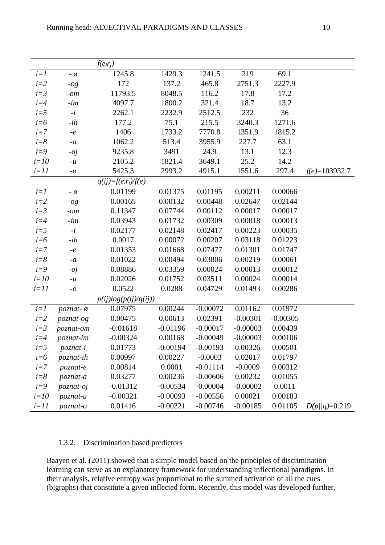|         |                    | $f(e_i r_j)$           |            |            |            |            |                   |
|---------|--------------------|------------------------|------------|------------|------------|------------|-------------------|
| $i=1$   | $ \phi$            | 1245.8                 | 1429.3     | 1241.5     | 219        | 69.1       |                   |
| $i=2$   | $-og$              | 172                    | 137.2      | 465.8      | 2751.3     | 2227.9     |                   |
| $i=3$   | $-om$              | 11793.5                | 8048.5     | 116.2      | 17.8       | 17.2       |                   |
| $i = 4$ | $-im$              | 4097.7                 | 1800.2     | 321.4      | 18.7       | 13.2       |                   |
| $i=5$   | $-i$               | 2262.1                 | 2232.9     | 2512.5     | 232        | 36         |                   |
| $i=6$   | $-ih$              | 177.2                  | 75.1       | 215.5      | 3240.3     | 1271.6     |                   |
| $i=7$   | - $\boldsymbol{e}$ | 1406                   | 1733.2     | 7770.8     | 1351.9     | 1815.2     |                   |
| $i = 8$ | - $\boldsymbol{a}$ | 1062.2                 | 513.4      | 3955.9     | 227.7      | 63.1       |                   |
| $i=9$   | $-oj$              | 9235.8                 | 3491       | 24.9       | 13.1       | 12.3       |                   |
| $i=10$  | $-u$               | 2105.2                 | 1821.4     | 3649.1     | 25.2       | 14.2       |                   |
| $i=11$  | - $\boldsymbol{o}$ | 5425.3                 | 2993.2     | 4915.1     | 1551.6     | 297.4      | $f(e)=103932.7$   |
|         |                    | $q(ij)=f(e_ir_j)/f(e)$ |            |            |            |            |                   |
| $i=1$   | $ \phi$            | 0.01199                | 0.01375    | 0.01195    | 0.00211    | 0.00066    |                   |
| $i=2$   | $-og$              | 0.00165                | 0.00132    | 0.00448    | 0.02647    | 0.02144    |                   |
| $i=3$   | $-om$              | 0.11347                | 0.07744    | 0.00112    | 0.00017    | 0.00017    |                   |
| $i = 4$ | $-im$              | 0.03943                | 0.01732    | 0.00309    | 0.00018    | 0.00013    |                   |
| $i=5$   | $-i$               | 0.02177                | 0.02148    | 0.02417    | 0.00223    | 0.00035    |                   |
| $i=6$   | $-ih$              | 0.0017                 | 0.00072    | 0.00207    | 0.03118    | 0.01223    |                   |
| $i=7$   | - $e$              | 0.01353                | 0.01668    | 0.07477    | 0.01301    | 0.01747    |                   |
| $i = 8$ | $-a$               | 0.01022                | 0.00494    | 0.03806    | 0.00219    | 0.00061    |                   |
| $i=9$   | $-oj$              | 0.08886                | 0.03359    | 0.00024    | 0.00013    | 0.00012    |                   |
| $i=10$  | $-u$               | 0.02026                | 0.01752    | 0.03511    | 0.00024    | 0.00014    |                   |
| $i=11$  | $-O$               | 0.0522                 | 0.0288     | 0.04729    | 0.01493    | 0.00286    |                   |
|         |                    | p(ij)log(p(ij)/q(ij))  |            |            |            |            |                   |
| $i=1$   | $poz$ nat- $\phi$  | 0.07975                | 0.00244    | $-0.00072$ | 0.01162    | 0.01972    |                   |
| $i=2$   | poznat-og          | 0.00475                | 0.00613    | 0.02391    | $-0.00301$ | $-0.00305$ |                   |
| $i=3$   | poznat-om          | $-0.01618$             | $-0.01196$ | $-0.00017$ | $-0.00003$ | 0.00439    |                   |
| $i = 4$ | poznat-im          | $-0.00324$             | 0.00168    | $-0.00049$ | $-0.00003$ | 0.00106    |                   |
|         | $i=5$ poznat-i     | 0.01773                | $-0.00194$ | $-0.00193$ | 0.00326    | 0.00501    |                   |
| $i=6$   | poznat-ih          | 0.00997                | 0.00227    | $-0.0003$  | 0.02017    | 0.01797    |                   |
| $i=7$   | poznat-e           | 0.00814                | 0.0001     | $-0.01114$ | $-0.0009$  | 0.00312    |                   |
| $i = 8$ | poznat-a           | 0.03277                | 0.00236    | $-0.00606$ | 0.00232    | 0.01055    |                   |
| $i=9$   | poznat-oj          | $-0.01312$             | $-0.00534$ | $-0.00004$ | $-0.00002$ | 0.0011     |                   |
| $i=10$  | poznat-u           | $-0.00321$             | $-0.00093$ | $-0.00556$ | 0.00021    | 0.00183    |                   |
| $i=11$  | poznat-o           | 0.01416                | $-0.00221$ | $-0.00746$ | $-0.00185$ | 0.01105    | $D(p/ q) = 0.219$ |

### 1.3.2. Discrimination based predictors

Baayen et al. (2011) showed that a simple model based on the principles of discrimination learning can serve as an explanatory framework for understanding inflectional paradigms. In their analysis, relative entropy was proportional to the summed activation of all the cues (bigraphs) that constitute a given inflected form. Recently, this model was developed further,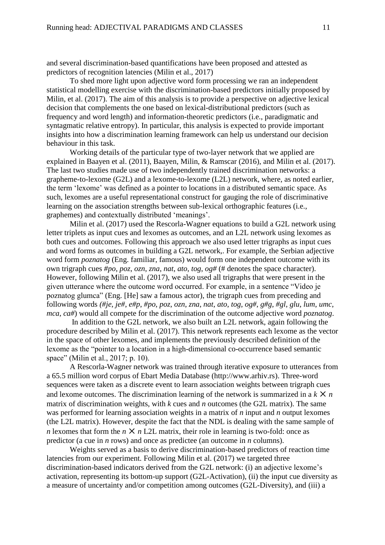and several discrimination-based quantifications have been proposed and attested as predictors of recognition latencies (Milin et al., 2017)

To shed more light upon adjective word form processing we ran an independent statistical modelling exercise with the discrimination-based predictors initially proposed by Milin, et al. (2017). The aim of this analysis is to provide a perspective on adjective lexical decision that complements the one based on lexical-distributional predictors (such as frequency and word length) and information-theoretic predictors (i.e., paradigmatic and syntagmatic relative entropy). In particular, this analysis is expected to provide important insights into how a discrimination learning framework can help us understand our decision behaviour in this task.

Working details of the particular type of two-layer network that we applied are explained in Baayen et al. (2011), Baayen, Milin, & Ramscar (2016), and Milin et al. (2017). The last two studies made use of two independently trained discrimination networks: a grapheme-to-lexome (G2L) and a lexome-to-lexome (L2L) network, where, as noted earlier, the term 'lexome' was defined as a pointer to locations in a distributed semantic space. As such, lexomes are a useful representational construct for gauging the role of discriminative learning on the association strengths between sub-lexical orthographic features (i.e., graphemes) and contextually distributed 'meanings'.

Milin et al. (2017) used the Rescorla-Wagner equations to build a G2L network using letter triplets as input cues and lexomes as outcomes, and an L2L network using lexomes as both cues and outcomes. Following this approach we also used letter trigraphs as input cues and word forms as outcomes in building a G2L network,. For example, the Serbian adjective word form *poznatog* (Eng. familiar, famous) would form one independent outcome with its own trigraph cues *#po*, *poz*, *ozn*, *zna*, *nat*, *ato*, *tog*, *og#* (# denotes the space character). However, following Milin et al. (2017), we also used all trigraphs that were present in the given utterance where the outcome word occurred. For example, in a sentence "Video je poznatog glumca" (Eng. [He] saw a famous actor), the trigraph cues from preceding and following words *(#je*, *je#*, *e#p*, *#po*, *poz*, *ozn*, *zna*, *nat*, *ato*, *tog*, *og#*, *g#g*, *#gl*, *glu*, *lum*, *umc*, *mca*, *ca#*) would all compete for the discrimination of the outcome adjective word *poznatog*.

In addition to the G2L network, we also built an L2L network, again following the procedure described by Milin et al. (2017). This network represents each lexome as the vector in the space of other lexomes, and implements the previously described definition of the lexome as the "pointer to a location in a high-dimensional co-occurrence based semantic space" (Milin et al., 2017; p. 10).

A Rescorla-Wagner network was trained through iterative exposure to utterances from a 65.5 million word corpus of Ebart Media Database (http://www.arhiv.rs). Three-word sequences were taken as a discrete event to learn association weights between trigraph cues and lexome outcomes. The discrimination learning of the network is summarized in a  $k \times n$ matrix of discrimination weights, with *k* cues and *n* outcomes (the G2L matrix). The same was performed for learning association weights in a matrix of *n* input and *n* output lexomes (the L2L matrix). However, despite the fact that the NDL is dealing with the same sample of *n* lexomes that form the  $n \times n$  L2L matrix, their role in learning is two-fold: once as predictor (a cue in *n* rows) and once as predictee (an outcome in *n* columns).

Weights served as a basis to derive discrimination-based predictors of reaction time latencies from our experiment. Following Milin et al. (2017) we targeted three discrimination-based indicators derived from the G2L network: (i) an adjective lexome's activation, representing its bottom-up support (G2L-Activation), (ii) the input cue diversity as a measure of uncertainty and/or competition among outcomes (G2L-Diversity), and (iii) a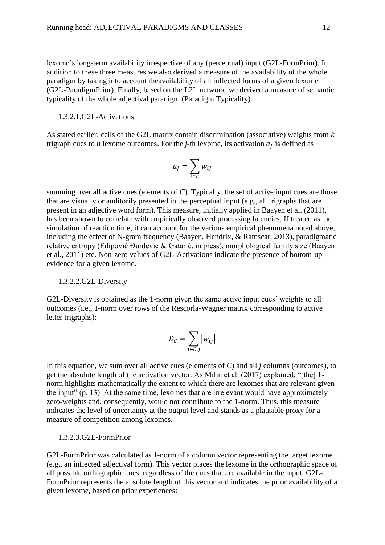lexome's long-term availability irrespective of any (perceptual) input (G2L-FormPrior). In addition to these three measures we also derived a measure of the availability of the whole paradigm by taking into account theavailability of all inflected forms of a given lexome (G2L-ParadigmPrior). Finally, based on the L2L network, we derived a measure of semantic typicality of the whole adjectival paradigm (Paradigm Typicality).

#### 1.3.2.1.G2L-Activations

As stated earlier, cells of the G2L matrix contain discrimination (associative) weights from *k* trigraph cues to *n* lexome outcomes. For the *j*-th lexome, its activation  $a_j$  is defined as

$$
a_j = \sum_{i \in C} w_{ij}
$$

summing over all active cues (elements of *C*). Typically, the set of active input cues are those that are visually or auditorily presented in the perceptual input (e.g., all trigraphs that are present in an adjective word form). This measure, initially applied in Baayen et al. (2011), has been shown to correlate with empirically observed processing latencies. If treated as the simulation of reaction time, it can account for the various empirical phenomena noted above, including the effect of N-gram frequency (Baayen, Hendrix, & Ramscar, 2013), paradigmatic relative entropy (Filipović Đurđević & Gatarić, in press), morphological family size (Baayen et al., 2011) etc. Non-zero values of G2L-Activations indicate the presence of bottom-up evidence for a given lexome.

#### 1.3.2.2.G2L-Diversity

G2L-Diversity is obtained as the 1-norm given the same active input cues' weights to all outcomes (i.e., 1-norm over rows of the Rescorla-Wagner matrix corresponding to active letter trigraphs):

$$
D_C = \sum_{i \in C, j} |w_{ij}|
$$

In this equation, we sum over all active cues (elements of *C*) and all *j* columns (outcomes), to get the absolute length of the activation vector. As Milin et al. (2017) explained, "[the] 1 norm highlights mathematically the extent to which there are lexomes that are relevant given the input" (p. 13). At the same time, lexomes that are irrelevant would have approximately zero-weights and, consequently, would not contribute to the 1-norm. Thus, this measure indicates the level of uncertainty at the output level and stands as a plausible proxy for a measure of competition among lexomes.

### 1.3.2.3.G2L-FormPrior

G2L-FormPrior was calculated as 1-norm of a column vector representing the target lexome (e.g., an inflected adjectival form). This vector places the lexome in the orthographic space of all possible orthographic cues, regardless of the cues that are available in the input. G2L-FormPrior represents the absolute length of this vector and indicates the prior availability of a given lexome, based on prior experiences: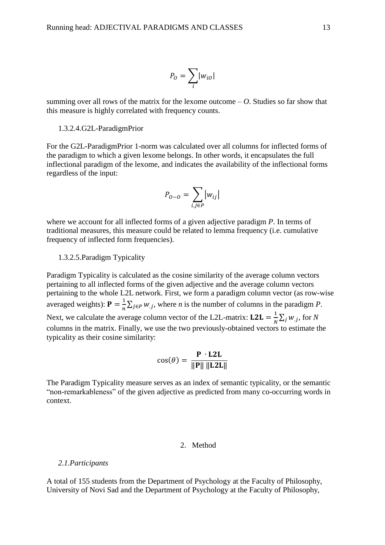$$
P_O = \sum_i |w_{io}|
$$

summing over all rows of the matrix for the lexome outcome  $O$ . Studies so far show that this measure is highly correlated with frequency counts.

#### 1.3.2.4.G2L-ParadigmPrior

For the G2L-ParadigmPrior 1-norm was calculated over all columns for inflected forms of the paradigm to which a given lexome belongs. In other words, it encapsulates the full inflectional paradigm of the lexome, and indicates the availability of the inflectional forms regardless of the input:

$$
P_{O-O} = \sum_{i,j \in P} |w_{ij}|
$$

where we account for all inflected forms of a given adjective paradigm *P*. In terms of traditional measures, this measure could be related to lemma frequency (i.e. cumulative frequency of inflected form frequencies).

#### 1.3.2.5.Paradigm Typicality

Paradigm Typicality is calculated as the cosine similarity of the average column vectors pertaining to all inflected forms of the given adjective and the average column vectors pertaining to the whole L2L network. First, we form a paradigm column vector (as row-wise averaged weights):  $P = \frac{1}{n}$  $\frac{1}{n}\sum_{j\in P} w_{.j}$ , where *n* is the number of columns in the paradigm *P*. Next, we calculate the average column vector of the L2L-matrix:  $L2L = \frac{1}{N}$  $\frac{1}{N}\sum_j w_{.j}$ , for N columns in the matrix. Finally, we use the two previously-obtained vectors to estimate the typicality as their cosine similarity:

$$
\cos(\theta) = \frac{\mathbf{P} \cdot \mathbf{L2L}}{\|\mathbf{P}\| \|\mathbf{L2L}\|}
$$

The Paradigm Typicality measure serves as an index of semantic typicality, or the semantic "non-remarkableness" of the given adjective as predicted from many co-occurring words in context.

#### 2. Method

#### *2.1.Participants*

A total of 155 students from the Department of Psychology at the Faculty of Philosophy, University of Novi Sad and the Department of Psychology at the Faculty of Philosophy,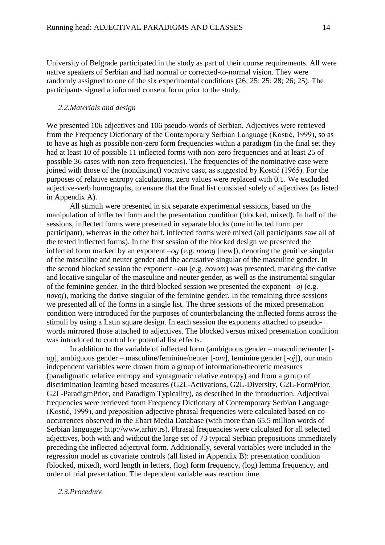University of Belgrade participated in the study as part of their course requirements. All were native speakers of Serbian and had normal or corrected-to-normal vision. They were randomly assigned to one of the six experimental conditions (26; 25; 25; 28; 26; 25). The participants signed a informed consent form prior to the study.

#### *2.2.Materials and design*

We presented 106 adjectives and 106 pseudo-words of Serbian. Adjectives were retrieved from the Frequency Dictionary of the Contemporary Serbian Language (Kostić, 1999), so as to have as high as possible non-zero form frequencies within a paradigm (in the final set they had at least 10 of possible 11 inflected forms with non-zero frequencies and at least 25 of possible 36 cases with non-zero frequencies). The frequencies of the nominative case were joined with those of the (nondistinct) vocative case, as suggested by Kostić (1965). For the purposes of relative entropy calculations, zero values were replaced with 0.1. We excluded adjective-verb homographs, to ensure that the final list consisted solely of adjectives (as listed in Appendix A).

All stimuli were presented in six separate experimental sessions, based on the manipulation of inflected form and the presentation condition (blocked, mixed). In half of the sessions, inflected forms were presented in separate blocks (one inflected form per participant), whereas in the other half, inflected forms were mixed (all participants saw all of the tested inflected forms). In the first session of the blocked design we presented the inflected form marked by an exponent *–og* (e.g. *novog* [new]), denoting the genitive singular of the masculine and neuter gender and the accusative singular of the masculine gender. In the second blocked session the exponent *–om* (e.g. *novom*) was presented, marking the dative and locative singular of the masculine and neuter gender, as well as the instrumental singular of the feminine gender. In the third blocked session we presented the exponent  $-oj$  (e.g. *novoj*), marking the dative singular of the feminine gender. In the remaining three sessions we presented all of the forms in a single list. The three sessions of the mixed presentation condition were introduced for the purposes of counterbalancing the inflected forms across the stimuli by using a Latin square design. In each session the exponents attached to pseudowords mirrored those attached to adjectives. The blocked versus mixed presentation condition was introduced to control for potential list effects.

In addition to the variable of inflected form (ambiguous gender – masculine/neuter [ *og*], ambiguous gender – masculine/feminine/neuter [*-om*], feminine gender [*-oj*]), our main independent variables were drawn from a group of information-theoretic measures (paradigmatic relative entropy and syntagmatic relative entropy) and from a group of discrimination learning based measures (G2L-Activations, G2L-Diversity, G2L-FormPrior, G2L-ParadigmPrior, and Paradigm Typicality), as described in the introduction. Adjectival frequencies were retrieved from Frequency Dictionary of Contemporary Serbian Language (Kostić, 1999), and preposition-adjective phrasal frequencies were calculated based on cooccurrences observed in the Ebart Media Database (with more than 65.5 million words of Serbian language; http://www.arhiv.rs). Phrasal frequencies were calculated for all selected adjectives, both with and without the large set of 73 typical Serbian prepositions immediately preceding the inflected adjectival form. Additionally, several variables were included in the regression model as covariate controls (all listed in Appendix B): presentation condition (blocked, mixed), word length in letters, (log) form frequency, (log) lemma frequency, and order of trial presentation. The dependent variable was reaction time.

*2.3.Procedure*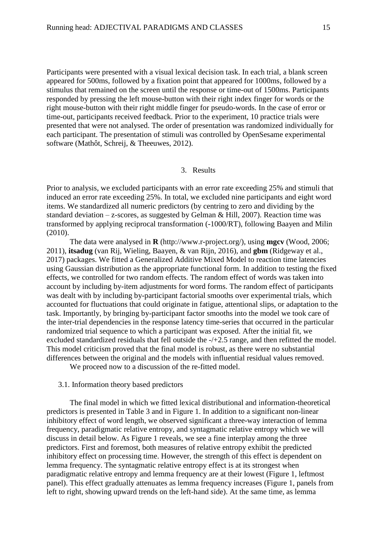Participants were presented with a visual lexical decision task. In each trial, a blank screen appeared for 500ms, followed by a fixation point that appeared for 1000ms, followed by a stimulus that remained on the screen until the response or time-out of 1500ms. Participants responded by pressing the left mouse-button with their right index finger for words or the right mouse-button with their right middle finger for pseudo-words. In the case of error or time-out, participants received feedback. Prior to the experiment, 10 practice trials were presented that were not analysed. The order of presentation was randomized individually for each participant. The presentation of stimuli was controlled by OpenSesame experimental software (Mathôt, Schreij, & Theeuwes, 2012).

### 3. Results

Prior to analysis, we excluded participants with an error rate exceeding 25% and stimuli that induced an error rate exceeding 25%. In total, we excluded nine participants and eight word items. We standardized all numeric predictors (by centring to zero and dividing by the standard deviation – z-scores, as suggested by Gelman & Hill, 2007). Reaction time was transformed by applying reciprocal transformation (-1000/RT), following Baayen and Milin (2010).

The data were analysed in **R** (http://www.r-project.org/), using **mgcv** (Wood, 2006; 2011), **itsadug** (van Rij, Wieling, Baayen, & van Rijn, 2016), and **gbm** (Ridgeway et al., 2017) packages. We fitted a Generalized Additive Mixed Model to reaction time latencies using Gaussian distribution as the appropriate functional form. In addition to testing the fixed effects, we controlled for two random effects. The random effect of words was taken into account by including by-item adjustments for word forms. The random effect of participants was dealt with by including by-participant factorial smooths over experimental trials, which accounted for fluctuations that could originate in fatigue, attentional slips, or adaptation to the task. Importantly, by bringing by-participant factor smooths into the model we took care of the inter-trial dependencies in the response latency time-series that occurred in the particular randomized trial sequence to which a participant was exposed. After the initial fit, we excluded standardized residuals that fell outside the -/+2.5 range, and then refitted the model. This model criticism proved that the final model is robust, as there were no substantial differences between the original and the models with influential residual values removed.

We proceed now to a discussion of the re-fitted model.

#### 3.1. Information theory based predictors

The final model in which we fitted lexical distributional and information-theoretical predictors is presented in Table 3 and in Figure 1. In addition to a significant non-linear inhibitory effect of word length, we observed significant a three-way interaction of lemma frequency, paradigmatic relative entropy, and syntagmatic relative entropy which we will discuss in detail below. As Figure 1 reveals, we see a fine interplay among the three predictors. First and foremost, both measures of relative entropy exhibit the predicted inhibitory effect on processing time. However, the strength of this effect is dependent on lemma frequency. The syntagmatic relative entropy effect is at its strongest when paradigmatic relative entropy and lemma frequency are at their lowest (Figure 1, leftmost panel). This effect gradually attenuates as lemma frequency increases (Figure 1, panels from left to right, showing upward trends on the left-hand side). At the same time, as lemma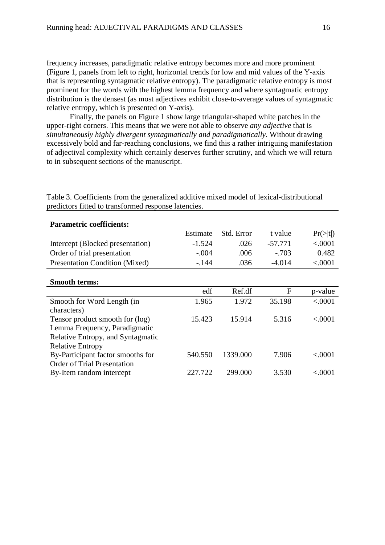frequency increases, paradigmatic relative entropy becomes more and more prominent (Figure 1, panels from left to right, horizontal trends for low and mid values of the Y-axis that is representing syntagmatic relative entropy). The paradigmatic relative entropy is most prominent for the words with the highest lemma frequency and where syntagmatic entropy distribution is the densest (as most adjectives exhibit close-to-average values of syntagmatic relative entropy, which is presented on Y-axis).

Finally, the panels on Figure 1 show large triangular-shaped white patches in the upper-right corners. This means that we were not able to observe *any adjective* that is *simultaneously highly divergent syntagmatically and paradigmatically*. Without drawing excessively bold and far-reaching conclusions, we find this a rather intriguing manifestation of adjectival complexity which certainly deserves further scrutiny, and which we will return to in subsequent sections of the manuscript.

| <b>Parametric coefficients:</b>       |          |            |           |                |
|---------------------------------------|----------|------------|-----------|----------------|
|                                       | Estimate | Std. Error | t value   | $Pr(>\mid t )$ |
| Intercept (Blocked presentation)      | $-1.524$ | .026       | $-57.771$ | < .0001        |
| Order of trial presentation           | $-.004$  | .006       | $-.703$   | 0.482          |
| <b>Presentation Condition (Mixed)</b> | $-.144$  | .036       | $-4.014$  | < .0001        |
|                                       |          |            |           |                |
| <b>Smooth terms:</b>                  |          |            |           |                |
|                                       | edf      | Ref.df     | F         | p-value        |
| Smooth for Word Length (in            | 1.965    | 1.972      | 35.198    | < .0001        |
| characters)                           |          |            |           |                |
| Tensor product smooth for (log)       | 15.423   | 15.914     | 5.316     | < .0001        |
| Lemma Frequency, Paradigmatic         |          |            |           |                |
| Relative Entropy, and Syntagmatic     |          |            |           |                |
| <b>Relative Entropy</b>               |          |            |           |                |
| By-Participant factor smooths for     | 540.550  | 1339.000   | 7.906     | < .0001        |
| <b>Order of Trial Presentation</b>    |          |            |           |                |
| By-Item random intercept              | 227.722  | 299.000    | 3.530     | < .0001        |

Table 3. Coefficients from the generalized additive mixed model of lexical-distributional predictors fitted to transformed response latencies.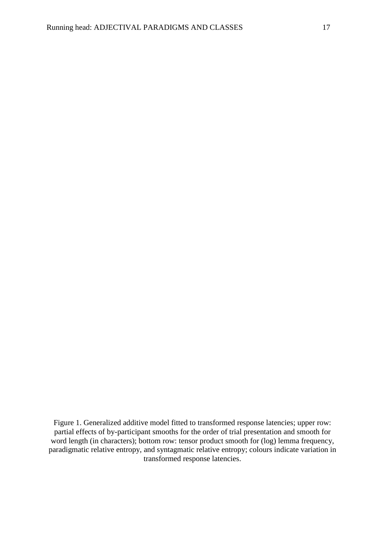Figure 1. Generalized additive model fitted to transformed response latencies; upper row: partial effects of by-participant smooths for the order of trial presentation and smooth for word length (in characters); bottom row: tensor product smooth for (log) lemma frequency, paradigmatic relative entropy, and syntagmatic relative entropy; colours indicate variation in transformed response latencies.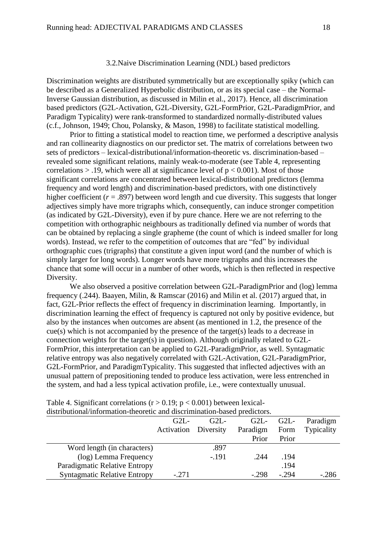#### 3.2.Naive Discrimination Learning (NDL) based predictors

Discrimination weights are distributed symmetrically but are exceptionally spiky (which can be described as a Generalized Hyperbolic distribution, or as its special case – the Normal-Inverse Gaussian distribution, as discussed in Milin et al., 2017). Hence, all discrimination based predictors (G2L-Activation, G2L-Diversity, G2L-FormPrior, G2L-ParadigmPrior, and Paradigm Typicality) were rank-transformed to standardized normally-distributed values (c.f., Johnson, 1949; Chou, Polansky, & Mason, 1998) to facilitate statistical modelling.

Prior to fitting a statistical model to reaction time, we performed a descriptive analysis and ran collinearity diagnostics on our predictor set. The matrix of correlations between two sets of predictors – lexical-distributional/information-theoretic vs. discrimination-based – revealed some significant relations, mainly weak-to-moderate (see Table 4, representing correlations  $> .19$ , which were all at significance level of  $p < 0.001$ ). Most of those significant correlations are concentrated between lexical-distributional predictors (lemma frequency and word length) and discrimination-based predictors, with one distinctively higher coefficient  $(r = .897)$  between word length and cue diversity. This suggests that longer adjectives simply have more trigraphs which, consequently, can induce stronger competition (as indicated by G2L-Diversity), even if by pure chance. Here we are not referring to the competition with orthographic neighbours as traditionally defined via number of words that can be obtained by replacing a single grapheme (the count of which is indeed smaller for long words). Instead, we refer to the competition of outcomes that are "fed" by individual orthographic cues (trigraphs) that constitute a given input word (and the number of which is simply larger for long words). Longer words have more trigraphs and this increases the chance that some will occur in a number of other words, which is then reflected in respective Diversity.

We also observed a positive correlation between G2L-ParadigmPrior and (log) lemma frequency (.244). Baayen, Milin, & Ramscar (2016) and Milin et al. (2017) argued that, in fact, G2L-Prior reflects the effect of frequency in discrimination learning. Importantly, in discrimination learning the effect of frequency is captured not only by positive evidence, but also by the instances when outcomes are absent (as mentioned in 1.2, the presence of the cue(s) which is not accompanied by the presence of the target(s) leads to a decrease in connection weights for the target(s) in question). Although originally related to G2L-FormPrior, this interpretation can be applied to G2L-ParadigmPrior, as well. Syntagmatic relative entropy was also negatively correlated with G2L-Activation, G2L-ParadigmPrior, G2L-FormPrior, and ParadigmTypicality. This suggested that inflected adjectives with an unusual pattern of prepositioning tended to produce less activation, were less entrenched in the system, and had a less typical activation profile, i.e., were contextually unusual.

| distributional/information-theoretic and discrimination-based predictors. |            |           |          |         |            |  |  |  |
|---------------------------------------------------------------------------|------------|-----------|----------|---------|------------|--|--|--|
|                                                                           | $G2L$ -    | G2L       | G2L      | $G2L$ - | Paradigm   |  |  |  |
|                                                                           | Activation | Diversity | Paradigm | Form    | Typicality |  |  |  |
|                                                                           |            |           | Prior    | Prior   |            |  |  |  |
| Word length (in characters)                                               |            | .897      |          |         |            |  |  |  |
| (log) Lemma Frequency                                                     |            | $-.191$   | .244     | .194    |            |  |  |  |
| <b>Paradigmatic Relative Entropy</b>                                      |            |           |          | .194    |            |  |  |  |
| <b>Syntagmatic Relative Entropy</b>                                       | $-.271$    |           | $-298$   | $-294$  | $-.286$    |  |  |  |

Table 4. Significant correlations ( $r > 0.19$ ;  $p < 0.001$ ) between lexicaldistributional/information-theoretic and discrimination-based predictors.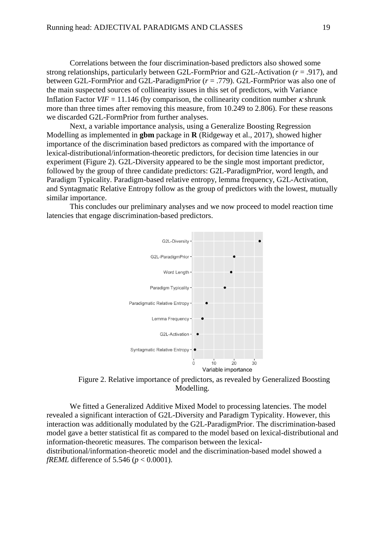Correlations between the four discrimination-based predictors also showed some strong relationships, particularly between G2L-FormPrior and G2L-Activation (*r* = .917), and between G2L-FormPrior and G2L-ParadigmPrior (*r* = .779). G2L-FormPrior was also one of the main suspected sources of collinearity issues in this set of predictors, with Variance Inflation Factor *VIF* = 11.146 (by comparison, the collinearity condition number  $\kappa$  shrunk more than three times after removing this measure, from 10.249 to 2.806). For these reasons we discarded G2L-FormPrior from further analyses.

Next, a variable importance analysis, using a Generalize Boosting Regression Modelling as implemented in **gbm** package in **R** (Ridgeway et al., 2017), showed higher importance of the discrimination based predictors as compared with the importance of lexical-distributional/information-theoretic predictors, for decision time latencies in our experiment (Figure 2). G2L-Diversity appeared to be the single most important predictor, followed by the group of three candidate predictors: G2L-ParadigmPrior, word length, and Paradigm Typicality. Paradigm-based relative entropy, lemma frequency, G2L-Activation, and Syntagmatic Relative Entropy follow as the group of predictors with the lowest, mutually similar importance.

This concludes our preliminary analyses and we now proceed to model reaction time latencies that engage discrimination-based predictors.



Figure 2. Relative importance of predictors, as revealed by Generalized Boosting Modelling.

We fitted a Generalized Additive Mixed Model to processing latencies. The model revealed a significant interaction of G2L-Diversity and Paradigm Typicality. However, this interaction was additionally modulated by the G2L-ParadigmPrior. The discrimination-based model gave a better statistical fit as compared to the model based on lexical-distributional and information-theoretic measures. The comparison between the lexicaldistributional/information-theoretic model and the discrimination-based model showed a

*fREML* difference of 5.546 (*p* < 0.0001).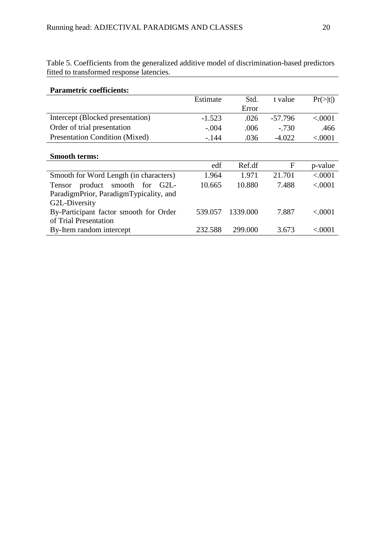| <b>Parametric coefficients:</b>                                 |          |          |           |                      |
|-----------------------------------------------------------------|----------|----------|-----------|----------------------|
|                                                                 | Estimate | Std.     | t value   | $Pr(>\vert t \vert)$ |
|                                                                 |          | Error    |           |                      |
| Intercept (Blocked presentation)                                | $-1.523$ | .026     | $-57.796$ | < .0001              |
| Order of trial presentation                                     | $-.004$  | .006     | $-.730$   | .466                 |
| <b>Presentation Condition (Mixed)</b>                           | $-.144$  | .036     | $-4.022$  | < .0001              |
| <b>Smooth terms:</b>                                            |          |          |           |                      |
|                                                                 | edf      | Ref.df   | F         | p-value              |
| Smooth for Word Length (in characters)                          | 1.964    | 1.971    | 21.701    | < .0001              |
| product<br>smooth for G2L-<br>Tensor                            | 10.665   | 10.880   | 7.488     | < .0001              |
| ParadigmPrior, ParadigmTypicality, and                          |          |          |           |                      |
| G2L-Diversity                                                   |          |          |           |                      |
| By-Participant factor smooth for Order<br>of Trial Presentation | 539.057  | 1339.000 | 7.887     | < .0001              |
| By-Item random intercept                                        | 232.588  | 299.000  | 3.673     | ${<}0001$            |

Table 5. Coefficients from the generalized additive model of discrimination-based predictors fitted to transformed response latencies.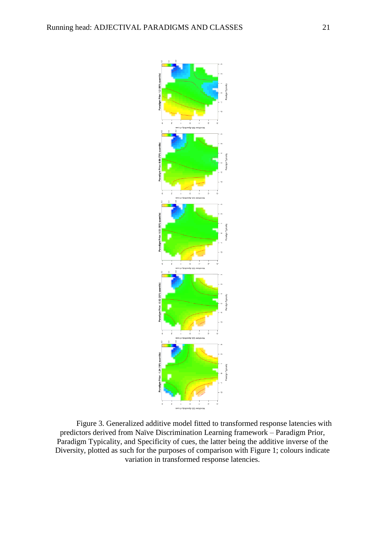

Figure 3. Generalized additive model fitted to transformed response latencies with predictors derived from Naïve Discrimination Learning framework – Paradigm Prior, Paradigm Typicality, and Specificity of cues, the latter being the additive inverse of the Diversity, plotted as such for the purposes of comparison with Figure 1; colours indicate variation in transformed response latencies.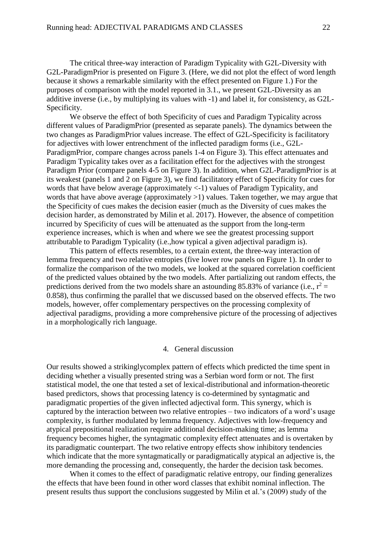The critical three-way interaction of Paradigm Typicality with G2L-Diversity with G2L-ParadigmPrior is presented on Figure 3. (Here, we did not plot the effect of word length because it shows a remarkable similarity with the effect presented on Figure 1.) For the purposes of comparison with the model reported in 3.1., we present G2L-Diversity as an additive inverse (i.e., by multiplying its values with -1) and label it, for consistency, as G2L-Specificity.

We observe the effect of both Specificity of cues and Paradigm Typicality across different values of ParadigmPrior (presented as separate panels). The dynamics between the two changes as ParadigmPrior values increase. The effect of G2L-Specificity is facilitatory for adjectives with lower entrenchment of the inflected paradigm forms (i.e., G2L-ParadigmPrior, compare changes across panels 1-4 on Figure 3). This effect attenuates and Paradigm Typicality takes over as a facilitation effect for the adjectives with the strongest Paradigm Prior (compare panels 4-5 on Figure 3). In addition, when G2L-ParadigmPrior is at its weakest (panels 1 and 2 on Figure 3), we find facilitatory effect of Specificity for cues for words that have below average (approximately <-1) values of Paradigm Typicality, and words that have above average (approximately >1) values. Taken together, we may argue that the Specificity of cues makes the decision easier (much as the Diversity of cues makes the decision harder, as demonstrated by Milin et al. 2017). However, the absence of competition incurred by Specificity of cues will be attenuated as the support from the long-term experience increases, which is when and where we see the greatest processing support attributable to Paradigm Typicality (i.e.,how typical a given adjectival paradigm is).

This pattern of effects resembles, to a certain extent, the three-way interaction of lemma frequency and two relative entropies (five lower row panels on Figure 1). In order to formalize the comparison of the two models, we looked at the squared correlation coefficient of the predicted values obtained by the two models. After partializing out random effects, the predictions derived from the two models share an astounding 85.83% of variance (i.e.,  $r^2$  = 0.858), thus confirming the parallel that we discussed based on the observed effects. The two models, however, offer complementary perspectives on the processing complexity of adjectival paradigms, providing a more comprehensive picture of the processing of adjectives in a morphologically rich language.

#### 4. General discussion

Our results showed a strikinglycomplex pattern of effects which predicted the time spent in deciding whether a visually presented string was a Serbian word form or not. The first statistical model, the one that tested a set of lexical-distributional and information-theoretic based predictors, shows that processing latency is co-determined by syntagmatic and paradigmatic properties of the given inflected adjectival form. This synergy, which is captured by the interaction between two relative entropies – two indicators of a word's usage complexity, is further modulated by lemma frequency. Adjectives with low-frequency and atypical prepositional realization require additional decision-making time; as lemma frequency becomes higher, the syntagmatic complexity effect attenuates and is overtaken by its paradigmatic counterpart. The two relative entropy effects show inhibitory tendencies which indicate that the more syntagmatically or paradigmatically atypical an adjective is, the more demanding the processing and, consequently, the harder the decision task becomes.

When it comes to the effect of paradigmatic relative entropy, our finding generalizes the effects that have been found in other word classes that exhibit nominal inflection. The present results thus support the conclusions suggested by Milin et al.'s (2009) study of the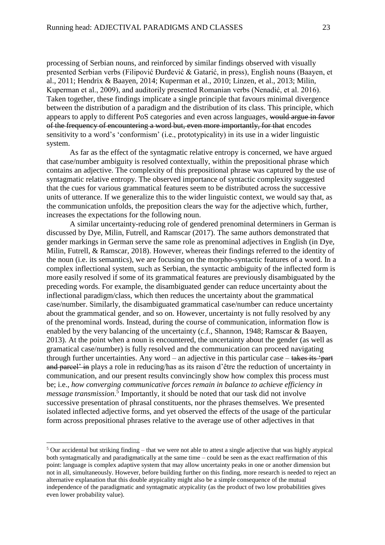processing of Serbian nouns, and reinforced by similar findings observed with visually presented Serbian verbs (Filipović Đurđević & Gatarić, in press), English nouns (Baayen, et al., 2011; Hendrix & Baayen, 2014; Kuperman et al., 2010; Linzen, et al., 2013; Milin, Kuperman et al., 2009), and auditorily presented Romanian verbs (Nenadić, et al. 2016). Taken together, these findings implicate a single principle that favours minimal divergence between the distribution of a paradigm and the distribution of its class. This principle, which appears to apply to different PoS categories and even across languages, would argue in favor of the frequency of encountering a word but, even more importantly, for that encodes sensitivity to a word's 'conformism' (i.e., prototypicality) in its use in a wider linguistic system.

As far as the effect of the syntagmatic relative entropy is concerned, we have argued that case/number ambiguity is resolved contextually, within the prepositional phrase which contains an adjective. The complexity of this prepositional phrase was captured by the use of syntagmatic relative entropy. The observed importance of syntactic complexity suggested that the cues for various grammatical features seem to be distributed across the successive units of utterance. If we generalize this to the wider linguistic context, we would say that, as the communication unfolds, the preposition clears the way for the adjective which, further, increases the expectations for the following noun.

A similar uncertainty-reducing role of gendered prenominal determiners in German is discussed by Dye, Milin, Futrell, and Ramscar (2017). The same authors demonstrated that gender markings in German serve the same role as prenominal adjectives in English (in Dye, Milin, Futrell, & Ramscar, 2018). However, whereas their findings referred to the identity of the noun (i.e. its semantics), we are focusing on the morpho-syntactic features of a word. In a complex inflectional system, such as Serbian, the syntactic ambiguity of the inflected form is more easily resolved if some of its grammatical features are previously disambiguated by the preceding words. For example, the disambiguated gender can reduce uncertainty about the inflectional paradigm/class, which then reduces the uncertainty about the grammatical case/number. Similarly, the disambiguated grammatical case/number can reduce uncertainty about the grammatical gender, and so on. However, uncertainty is not fully resolved by any of the prenominal words. Instead, during the course of communication, information flow is enabled by the very balancing of the uncertainty (c.f., Shannon, 1948; Ramscar & Baayen, 2013). At the point when a noun is encountered, the uncertainty about the gender (as well as gramatical case/number) is fully resolved and the communication can proceed navigating through further uncertainties. Any word – an adjective in this particular case – takes its 'part and parcel' in plays a role in reducing/has as its raison d'être the reduction of uncertainty in communication, and our present results convincingly show how complex this process must be; i.e., *how converging communicative forces remain in balance to achieve efficiency in message transmission*. 5 Importantly, it should be noted that our task did not involve successive presentation of phrasal constituents, nor the phrases themselves. We presented isolated inflected adjective forms, and yet observed the effects of the usage of the particular form across prepositional phrases relative to the average use of other adjectives in that

1

 $5$  Our accidental but striking finding – that we were not able to attest a single adjective that was highly atypical both syntagmatically and paradigmatically at the same time – could be seen as the exact reaffirmation of this point: language is complex adaptive system that may allow uncertainty peaks in one or another dimension but not in all, simultaneously. However, before building further on this finding, more research is needed to reject an alternative explanation that this double atypicality might also be a simple consequence of the mutual independence of the paradigmatic and syntagmatic atypicality (as the product of two low probabilities gives even lower probability value).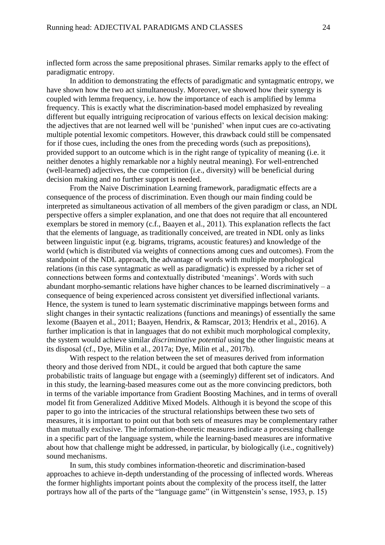inflected form across the same prepositional phrases. Similar remarks apply to the effect of paradigmatic entropy.

In addition to demonstrating the effects of paradigmatic and syntagmatic entropy, we have shown how the two act simultaneously. Moreover, we showed how their synergy is coupled with lemma frequency, i.e. how the importance of each is amplified by lemma frequency. This is exactly what the discrimination-based model emphasized by revealing different but equally intriguing reciprocation of various effects on lexical decision making: the adjectives that are not learned well will be 'punished' when input cues are co-activating multiple potential lexomic competitors. However, this drawback could still be compensated for if those cues, including the ones from the preceding words (such as prepositions), provided support to an outcome which is in the right range of typicality of meaning (i.e. it neither denotes a highly remarkable nor a highly neutral meaning). For well-entrenched (well-learned) adjectives, the cue competition (i.e., diversity) will be beneficial during decision making and no further support is needed.

From the Naive Discrimination Learning framework, paradigmatic effects are a consequence of the process of discrimination. Even though our main finding could be interpreted as simultaneous activation of all members of the given paradigm or class, an NDL perspective offers a simpler explanation, and one that does not require that all encountered exemplars be stored in memory (c.f., Baayen et al., 2011). This explanation reflects the fact that the elements of language, as traditionally conceived, are treated in NDL only as links between linguistic input (e.g. bigrams, trigrams, acoustic features) and knowledge of the world (which is distributed via weights of connections among cues and outcomes). From the standpoint of the NDL approach, the advantage of words with multiple morphological relations (in this case syntagmatic as well as paradigmatic) is expressed by a richer set of connections between forms and contextually distributed 'meanings'. Words with such abundant morpho-semantic relations have higher chances to be learned discriminatively  $- a$ consequence of being experienced across consistent yet diversified inflectional variants. Hence, the system is tuned to learn systematic discriminative mappings between forms and slight changes in their syntactic realizations (functions and meanings) of essentially the same lexome (Baayen et al., 2011; Baayen, Hendrix, & Ramscar, 2013; Hendrix et al., 2016). A further implication is that in languages that do not exhibit much morphological complexity, the system would achieve similar *discriminative potential* using the other linguistic means at its disposal (cf., Dye, Milin et al., 2017a; Dye, Milin et al., 2017b).

With respect to the relation between the set of measures derived from information theory and those derived from NDL, it could be argued that both capture the same probabilistic traits of language but engage with a (seemingly) different set of indicators. And in this study, the learning-based measures come out as the more convincing predictors, both in terms of the variable importance from Gradient Boosting Machines, and in terms of overall model fit from Generalized Additive Mixed Models. Although it is beyond the scope of this paper to go into the intricacies of the structural relationships between these two sets of measures, it is important to point out that both sets of measures may be complementary rather than mutually exclusive. The information-theoretic measures indicate a processing challenge in a specific part of the language system, while the learning-based measures are informative about how that challenge might be addressed, in particular, by biologically (i.e., cognitively) sound mechanisms.

In sum, this study combines information-theoretic and discrimination-based approaches to achieve in-depth understanding of the processing of inflected words. Whereas the former highlights important points about the complexity of the process itself, the latter portrays how all of the parts of the "language game" (in Wittgenstein's sense, 1953, p. 15)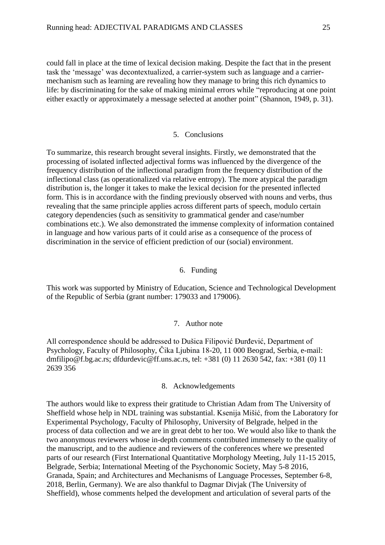could fall in place at the time of lexical decision making. Despite the fact that in the present task the 'message' was decontextualized, a carrier-system such as language and a carriermechanism such as learning are revealing how they manage to bring this rich dynamics to life: by discriminating for the sake of making minimal errors while "reproducing at one point either exactly or approximately a message selected at another point" (Shannon, 1949, p. 31).

#### 5. Conclusions

To summarize, this research brought several insights. Firstly, we demonstrated that the processing of isolated inflected adjectival forms was influenced by the divergence of the frequency distribution of the inflectional paradigm from the frequency distribution of the inflectional class (as operationalized via relative entropy). The more atypical the paradigm distribution is, the longer it takes to make the lexical decision for the presented inflected form. This is in accordance with the finding previously observed with nouns and verbs, thus revealing that the same principle applies across different parts of speech, modulo certain category dependencies (such as sensitivity to grammatical gender and case/number combinations etc.). We also demonstrated the immense complexity of information contained in language and how various parts of it could arise as a consequence of the process of discrimination in the service of efficient prediction of our (social) environment.

#### 6. Funding

This work was supported by Ministry of Education, Science and Technological Development of the Republic of Serbia (grant number: 179033 and 179006).

#### 7. Author note

All correspondence should be addressed to Dušica Filipović Đurđević, Department of Psychology, Faculty of Philosophy, Čika Ljubina 18-20, 11 000 Beograd, Serbia, e-mail: dmfilipo@f.bg.ac.rs; dfdurdevic@ff.uns.ac.rs, tel: +381 (0) 11 2630 542, fax: +381 (0) 11 2639 356

#### 8. Acknowledgements

The authors would like to express their gratitude to Christian Adam from The University of Sheffield whose help in NDL training was substantial. Ksenija Mišić, from the Laboratory for Experimental Psychology, Faculty of Philosophy, University of Belgrade, helped in the process of data collection and we are in great debt to her too. We would also like to thank the two anonymous reviewers whose in-depth comments contributed immensely to the quality of the manuscript, and to the audience and reviewers of the conferences where we presented parts of our research (First International Quantitative Morphology Meeting, July 11-15 2015, Belgrade, Serbia; International Meeting of the Psychonomic Society, May 5-8 2016, Granada, Spain; and Architectures and Mechanisms of Language Processes, September 6-8, 2018, Berlin, Germany). We are also thankful to Dagmar Divjak (The University of Sheffield), whose comments helped the development and articulation of several parts of the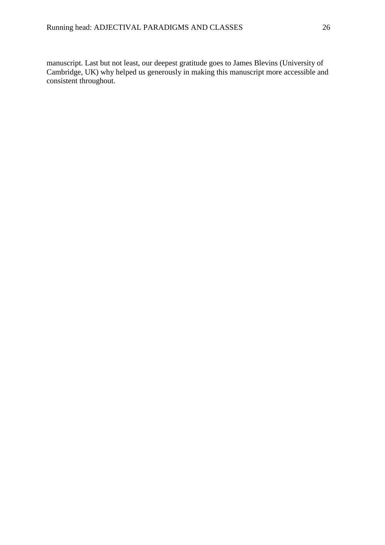manuscript. Last but not least, our deepest gratitude goes to James Blevins (University of Cambridge, UK) why helped us generously in making this manuscript more accessible and consistent throughout.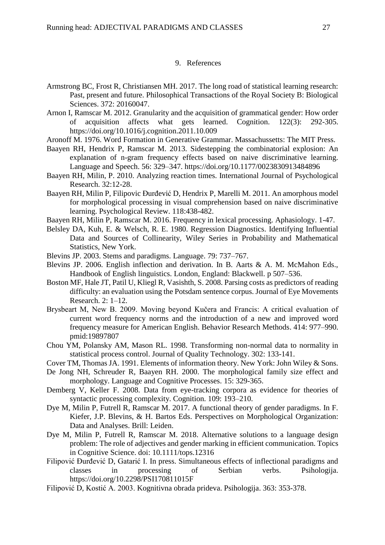#### 9. References

- Armstrong BC, Frost R, Christiansen MH. 2017. The long road of statistical learning research: Past, present and future. Philosophical Transactions of the Royal Society B: Biological Sciences. 372: 20160047.
- Arnon I, Ramscar M. 2012. Granularity and the acquisition of grammatical gender: How order of acquisition affects what gets learned. Cognition. 122(3): 292-305. https://doi.org/10.1016/j.cognition.2011.10.009
- Aronoff M. 1976. Word Formation in Generative Grammar. Massachussetts: The MIT Press.
- Baayen RH, Hendrix P, Ramscar M. 2013. Sidestepping the combinatorial explosion: An explanation of n-gram frequency effects based on naive discriminative learning. Language and Speech. 56: 329–347. https://doi.org/10.1177/0023830913484896
- Baayen RH, Milin, P. 2010. Analyzing reaction times. International Journal of Psychological Research. 32:12-28.
- Baayen RH, Milin P, Filipovic Đurđević D, Hendrix P, Marelli M. 2011. An amorphous model for morphological processing in visual comprehension based on naive discriminative learning. Psychological Review. 118:438-482.
- Baayen RH, Milin P, Ramscar M. 2016. Frequency in lexical processing. Aphasiology. 1-47.
- Belsley DA, Kuh, E. & Welsch, R. E. 1980. Regression Diagnostics. Identifying Influential Data and Sources of Collinearity, Wiley Series in Probability and Mathematical Statistics, New York.
- Blevins JP. 2003. Stems and paradigms. Language. 79: 737–767.
- Blevins JP. 2006. English inflection and derivation. In B. Aarts & A. M. McMahon Eds., Handbook of English linguistics. London, England: Blackwell. p 507–536.
- Boston MF, Hale JT, Patil U, Kliegl R, Vasishth, S. 2008. Parsing costs as predictors of reading difficulty: an evaluation using the Potsdam sentence corpus. Journal of Eye Movements Research. 2: 1–12.
- Brysbeart M, New B. 2009. Moving beyond Kučera and Francis: A critical evaluation of current word frequency norms and the introduction of a new and improved word frequency measure for American English. Behavior Research Methods. 414: 977–990. pmid:19897807
- Chou YM, Polansky AM, Mason RL. 1998. Transforming non-normal data to normality in statistical process control. Journal of Quality Technology. 302: 133-141.
- Cover TM, Thomas JA. 1991. Elements of information theory. New York: John Wiley & Sons.
- De Jong NH, Schreuder R, Baayen RH. 2000. The morphological family size effect and morphology. Language and Cognitive Processes. 15: 329-365.
- Demberg V, Keller F. 2008. Data from eye-tracking corpora as evidence for theories of syntactic processing complexity. Cognition. 109: 193–210.
- Dye M, Milin P, Futrell R, Ramscar M. 2017. A functional theory of gender paradigms. In F. Kiefer, J.P. Blevins, & H. Bartos Eds. Perspectives on Morphological Organization: Data and Analyses. Brill: Leiden.
- Dye M, Milin P, Futrell R, Ramscar M. 2018. Alternative solutions to a language design problem: The role of adjectives and gender marking in efficient communication. Topics in Cognitive Science. doi: 10.1111/tops.12316
- Filipović Đurđević D, Gatarić I. In press. Simultaneous effects of inflectional paradigms and classes in processing of Serbian verbs. Psihologija. https://doi.org/10.2298/PSI170811015F
- Filipović D, Kostić A. 2003. Kognitivna obrada prideva. Psihologija. 363: 353-378.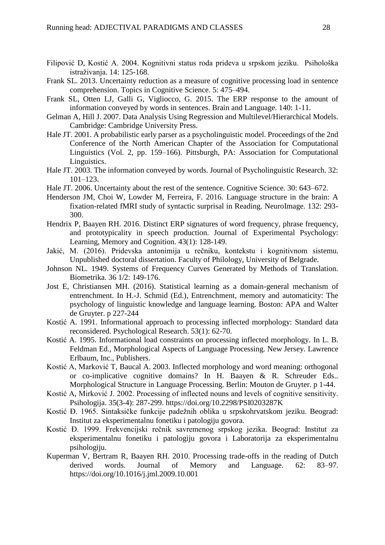- Filipović D, Kostić A. 2004. Kognitivni status roda prideva u srpskom jeziku. Psihološka istraživanja. 14: 125-168.
- Frank SL. 2013. Uncertainty reduction as a measure of cognitive processing load in sentence comprehension. Topics in Cognitive Science. 5: 475–494.
- Frank SL, Otten LJ, Galli G, Vigliocco, G. 2015. The ERP response to the amount of information conveyed by words in sentences. Brain and Language. 140: 1-11.
- Gelman A, Hill J. 2007. Data Analysis Using Regression and Multilevel/Hierarchical Models. Cambridge: Cambridge University Press.
- Hale JT. 2001. A probabilistic early parser as a psycholinguistic model. Proceedings of the 2nd Conference of the North American Chapter of the Association for Computational Linguistics (Vol. 2, pp. 159–166). Pittsburgh, PA: Association for Computational Linguistics.
- Hale JT. 2003. The information conveyed by words. Journal of Psycholinguistic Research. 32: 101–123.
- Hale JT. 2006. Uncertainty about the rest of the sentence. Cognitive Science. 30: 643–672.
- Henderson JM, Choi W, Lowder M, Ferreira, F. 2016. Language structure in the brain: A fixation-related fMRI study of syntactic surprisal in Reading. NeuroImage. 132: 293- 300.
- Hendrix P, Baayen RH. 2016. Distinct ERP signatures of word frequency, phrase frequency, and prototypicality in speech production. Journal of Experimental Psychology: Learning, Memory and Cognition. 43(1): 128-149.
- Jakić, M. (2016). Pridevska antonimija u rečniku, kontekstu i kognitivnom sistemu. Unpublished doctoral dissertation. Faculty of Philology, University of Belgrade.
- Johnson NL. 1949. Systems of Frequency Curves Generated by Methods of Translation. Biometrika. 36 1/2: 149-176.
- Jost E, Christiansen MH. (2016). Statistical learning as a domain-general mechanism of entrenchment. In H.-J. Schmid (Ed.), Entrenchment, memory and automaticity: The psychology of linguistic knowledge and language learning. Boston: APA and Walter de Gruyter. p 227-244
- Kostić A. 1991. Informational approach to processing inflected morphology: Standard data reconsidered. Psychological Research. 53(1): 62-70.
- Kostić A. 1995. Informational load constraints on processing inflected morphology. In L. B. Feldman Ed., Morphological Aspects of Language Processing. New Jersey. Lawrence Erlbaum, Inc., Publishers.
- Kostić A, Marković T, Baucal A. 2003. Inflected morphology and word meaning: orthogonal or co-implicative cognitive domains? In H. Baayen & R. Schreuder Eds.. Morphological Structure in Language Processing. Berlin: Mouton de Gruyter. p 1-44.
- Kostić A, Mirković J. 2002. Processing of inflected nouns and levels of cognitive sensitivity. Psihologija. 35(3-4): 287-299. https://doi.org/10.2298/PSI0203287K
- Kostić Đ. 1965. Sintaksičke funkcije padežnih oblika u srpskohrvatskom jeziku. Beograd: Institut za eksperimentalnu fonetiku i patologiju govora.
- Kostić Đ. 1999. Frekvencijski rečnik savremenog srpskog jezika. Beograd: Institut za eksperimentalnu fonetiku i patologiju govora i Laboratorija za eksperimentalnu psihologiju.
- Kuperman V, Bertram R, Baayen RH. 2010. Processing trade-offs in the reading of Dutch derived words. Journal of Memory and Language. 62: 83–97. https://doi.org/10.1016/j.jml.2009.10.001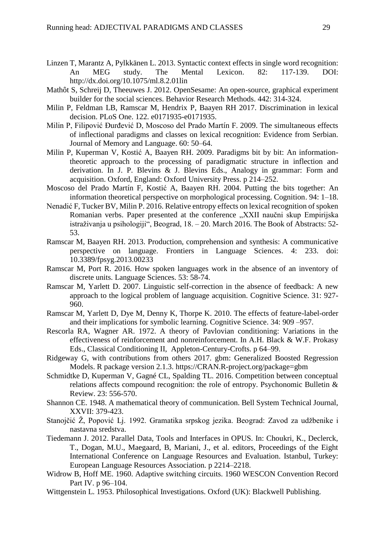- Linzen T, Marantz A, Pylkkänen L. 2013. Syntactic context effects in single word recognition: An MEG study. The Mental Lexicon. 82: 117-139. DOI: http://dx.doi.org/10.1075/ml.8.2.01lin
- Mathôt S, Schreij D, Theeuwes J. 2012. OpenSesame: An open-source, graphical experiment builder for the social sciences. Behavior Research Methods. 442: 314-324.
- Milin P, Feldman LB, Ramscar M, Hendrix P, Baayen RH 2017. Discrimination in lexical decision. PLoS One. 122. e0171935-e0171935.
- Milin P, Filipović Đurđević D, Moscoso del Prado Martín F. 2009. The simultaneous effects of inflectional paradigms and classes on lexical recognition: Evidence from Serbian. Journal of Memory and Language. 60: 50–64.
- Milin P, Kuperman V, Kostić A, Baayen RH. 2009. Paradigms bit by bit: An informationtheoretic approach to the processing of paradigmatic structure in inflection and derivation. In J. P. Blevins & J. Blevins Eds., Analogy in grammar: Form and acquisition. Oxford, England: Oxford University Press. p 214–252.
- Moscoso del Prado Martín F, Kostić A, Baayen RH. 2004. Putting the bits together: An information theoretical perspective on morphological processing. Cognition. 94: 1–18.
- Nenadić F, Tucker BV, Milin P. 2016. Relative entropy effects on lexical recognition of spoken Romanian verbs. Paper presented at the conference "XXII naučni skup Empirijska istraživanja u psihologiji", Beograd, 18. – 20. March 2016. The Book of Abstracts: 52- 53.
- Ramscar M, Baayen RH. 2013. Production, comprehension and synthesis: A communicative perspective on language. Frontiers in Language Sciences. 4: 233. doi: 10.3389/fpsyg.2013.00233
- Ramscar M, Port R. 2016. How spoken languages work in the absence of an inventory of discrete units. Language Sciences. 53: 58-74.
- Ramscar M, Yarlett D. 2007. Linguistic self-correction in the absence of feedback: A new approach to the logical problem of language acquisition. Cognitive Science. 31: 927- 960.
- Ramscar M, Yarlett D, Dye M, Denny K, Thorpe K. 2010. The effects of feature-label-order and their implications for symbolic learning. Cognitive Science. 34: 909 –957.
- Rescorla RA, Wagner AR. 1972. A theory of Pavlovian conditioning: Variations in the effectiveness of reinforcement and nonreinforcement. In A.H. Black & W.F. Prokasy Eds., Classical Conditioning II, Appleton-Century-Crofts. p 64–99.
- Ridgeway G, with contributions from others 2017. gbm: Generalized Boosted Regression Models. R package version 2.1.3. https://CRAN.R-project.org/package=gbm
- Schmidtke D, Kuperman V, Gagné CL, Spalding TL. 2016. Competition between conceptual relations affects compound recognition: the role of entropy. Psychonomic Bulletin & Review. 23: 556-570.
- Shannon CE. 1948. A mathematical theory of communication. Bell System Technical Journal, XXVII: 379-423.
- Stanojčić Ž, Popović Lj. 1992. Gramatika srpskog jezika. Beograd: Zavod za udžbenike i nastavna sredstva.
- Tiedemann J. 2012. Parallel Data, Tools and Interfaces in OPUS. In: Choukri, K., Declerck, T., Dogan, M.U., Maegaard, B, Mariani, J., et al. editors, Proceedings of the Eight International Conference on Language Resources and Evaluation. Istanbul, Turkey: European Language Resources Association. p 2214–2218.
- Widrow B, Hoff ME. 1960. Adaptive switching circuits. 1960 WESCON Convention Record Part IV. p 96–104.
- Wittgenstein L. 1953. Philosophical Investigations. Oxford (UK): Blackwell Publishing.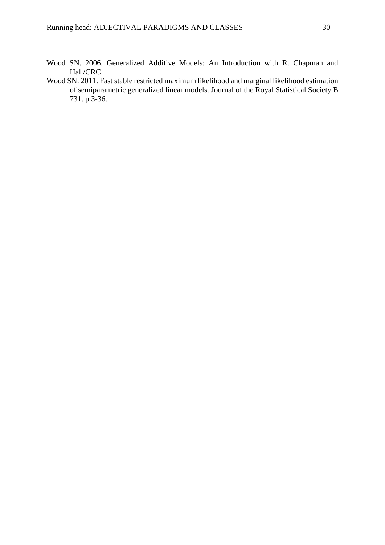- Wood SN. 2006. Generalized Additive Models: An Introduction with R. Chapman and Hall/CRC.
- Wood SN. 2011. Fast stable restricted maximum likelihood and marginal likelihood estimation of semiparametric generalized linear models. Journal of the Royal Statistical Society B 731. p 3-36.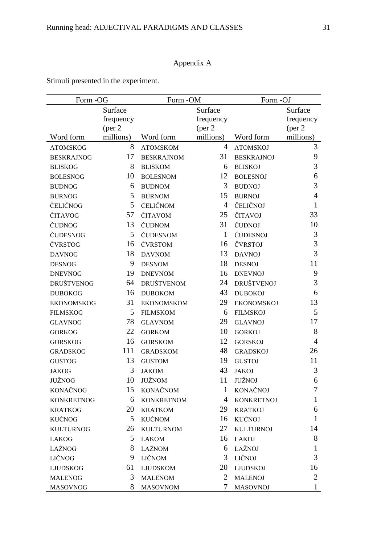# Appendix A

Stimuli presented in the experiment.

| Form -OG          |           | Form - OM         |           | Form -OJ          |                |
|-------------------|-----------|-------------------|-----------|-------------------|----------------|
|                   | Surface   |                   | Surface   |                   | Surface        |
|                   | frequency |                   | frequency |                   | frequency      |
|                   | (per 2)   |                   | (per 2)   |                   | (per 2)        |
| Word form         | millions) | Word form         | millions) | Word form         | millions)      |
| <b>ATOMSKOG</b>   | 8         | <b>ATOMSKOM</b>   | 4         | <b>ATOMSKOJ</b>   | 3              |
| <b>BESKRAJNOG</b> | 17        | <b>BESKRAJNOM</b> | 31        | <b>BESKRAJNOJ</b> | 9              |
| <b>BLISKOG</b>    | 8         | <b>BLISKOM</b>    | 6         | <b>BLISKOJ</b>    | 3              |
| <b>BOLESNOG</b>   | 10        | <b>BOLESNOM</b>   | 12        | <b>BOLESNOJ</b>   | 6              |
| <b>BUDNOG</b>     | 6         | <b>BUDNOM</b>     | 3         | <b>BUDNOJ</b>     | 3              |
| <b>BURNOG</b>     | 5         | <b>BURNOM</b>     | 15        | <b>BURNOJ</b>     | $\overline{4}$ |
| ČELIČNOG          | 5         | ČELIČNOM          | 4         | ČELIČNOJ          | 1              |
| ČITAVOG           | 57        | ČITAVOM           | 25        | ČITAVOJ           | 33             |
| ČUDNOG            | 13        | ČUDNOM            | 31        | ČUDNOJ            | 10             |
| ČUDESNOG          | 5         | ČUDESNOM          | 1         | ČUDESNOJ          | 3              |
| ČVRSTOG           | 16        | ČVRSTOM           | 16        | ČVRSTOJ           | 3              |
| <b>DAVNOG</b>     | 18        | <b>DAVNOM</b>     | 13        | <b>DAVNOJ</b>     | 3              |
| <b>DESNOG</b>     | 9         | <b>DESNOM</b>     | 18        | <b>DESNOJ</b>     | 11             |
| <b>DNEVNOG</b>    | 19        | <b>DNEVNOM</b>    | 16        | <b>DNEVNOJ</b>    | 9              |
| <b>DRUŠTVENOG</b> | 64        | <b>DRUŠTVENOM</b> | 24        | <b>DRUŠTVENOJ</b> | 3              |
| <b>DUBOKOG</b>    | 16        | <b>DUBOKOM</b>    | 43        | <b>DUBOKOJ</b>    | 6              |
| <b>EKONOMSKOG</b> | 31        | <b>EKONOMSKOM</b> | 29        | <b>EKONOMSKOJ</b> | 13             |
| <b>FILMSKOG</b>   | 5         | <b>FILMSKOM</b>   | 6         | <b>FILMSKOJ</b>   | 5              |
| <b>GLAVNOG</b>    | 78        | <b>GLAVNOM</b>    | 29        | <b>GLAVNOJ</b>    | 17             |
| <b>GORKOG</b>     | 22        | <b>GORKOM</b>     | 10        | <b>GORKOJ</b>     | 8              |
| <b>GORSKOG</b>    | 16        | <b>GORSKOM</b>    | 12        | <b>GORSKOJ</b>    | $\overline{4}$ |
| <b>GRADSKOG</b>   | 111       | <b>GRADSKOM</b>   | 48        | <b>GRADSKOJ</b>   | 26             |
| <b>GUSTOG</b>     | 13        | <b>GUSTOM</b>     | 19        | <b>GUSTOJ</b>     | 11             |
| <b>JAKOG</b>      | 3         | <b>JAKOM</b>      | 43        | <b>JAKOJ</b>      | 3              |
| <b>JUŽNOG</b>     | 10        | <b>JUŽNOM</b>     | 11        | <b>JUŽNOJ</b>     | 6              |
| <b>KONAČNOG</b>   | 15        | <b>KONAČNOM</b>   | 1         | KONAČNOJ          | 7              |
| <b>KONKRETNOG</b> | 6         | <b>KONKRETNOM</b> | 4         | <b>KONKRETNOJ</b> | 1              |
| <b>KRATKOG</b>    | 20        | <b>KRATKOM</b>    | 29        | <b>KRATKOJ</b>    | 6              |
| KUĆNOG            | 5         | <b>KUĆNOM</b>     | 16        | KUĆNOJ            | 1              |
| <b>KULTURNOG</b>  | 26        | <b>KULTURNOM</b>  | 27        | <b>KULTURNOJ</b>  | 14             |
| <b>LAKOG</b>      | 5         | <b>LAKOM</b>      | 16        | <b>LAKOJ</b>      | 8              |
| LAŽNOG            | 8         | LAŽNOM            | 6         | LAŽNOJ            | 1              |
| LIČNOG            | 9         | LIČNOM            | 3         | LIČNOJ            | 3              |
| <b>LJUDSKOG</b>   | 61        | <b>LJUDSKOM</b>   | 20        | <b>LJUDSKOJ</b>   | 16             |
| <b>MALENOG</b>    | 3         | <b>MALENOM</b>    | 2         | <b>MALENOJ</b>    | $\overline{2}$ |
| <b>MASOVNOG</b>   | 8         | <b>MASOVNOM</b>   | 7         | <b>MASOVNOJ</b>   | 1              |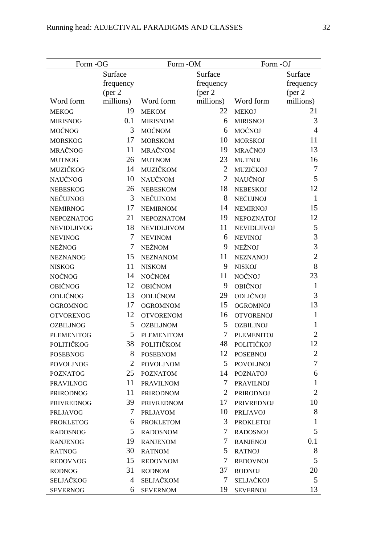| Form -OG           |           | Form - OM          |                | Form -OJ           |                |
|--------------------|-----------|--------------------|----------------|--------------------|----------------|
|                    | Surface   |                    | Surface        |                    | Surface        |
|                    | frequency |                    | frequency      |                    | frequency      |
|                    | (per 2)   |                    | (per 2)        |                    | (per 2)        |
| Word form          | millions) | Word form          | millions)      | Word form          | millions)      |
| <b>MEKOG</b>       | 19        | <b>MEKOM</b>       | 22             | <b>MEKOJ</b>       | 21             |
| <b>MIRISNOG</b>    | 0.1       | <b>MIRISNOM</b>    | 6              | <b>MIRISNOJ</b>    | 3              |
| MOĆNOG             | 3         | <b>MOĆNOM</b>      | 6              | MOĆNOJ             | $\overline{4}$ |
| <b>MORSKOG</b>     | 17        | <b>MORSKOM</b>     | 10             | <b>MORSKOJ</b>     | 11             |
| MRAČNOG            | 11        | MRAČNOM            | 19             | MRAČNOJ            | 13             |
| <b>MUTNOG</b>      | 26        | <b>MUTNOM</b>      | 23             | <b>MUTNOJ</b>      | 16             |
| MUZIČKOG           | 14        | MUZIČKOM           | $\overline{2}$ | MUZIČKOJ           | 7              |
| <b>NAUČNOG</b>     | 10        | <b>NAUČNOM</b>     | $\overline{2}$ | <b>NAUČNOJ</b>     | 5              |
| <b>NEBESKOG</b>    | 26        | <b>NEBESKOM</b>    | 18             | <b>NEBESKOJ</b>    | 12             |
| NEČUJNOG           | 3         | NEČUJNOM           | 8              | NEČUJNOJ           | $\mathbf{1}$   |
| <b>NEMIRNOG</b>    | 17        | <b>NEMIRNOM</b>    | 14             | <b>NEMIRNOJ</b>    | 15             |
| <b>NEPOZNATOG</b>  | 21        | <b>NEPOZNATOM</b>  | 19             | <b>NEPOZNATOJ</b>  | 12             |
| <b>NEVIDLJIVOG</b> | 18        | <b>NEVIDLJIVOM</b> | 11             | <b>NEVIDLJIVOJ</b> | 5              |
| <b>NEVINOG</b>     | 7         | <b>NEVINOM</b>     | 6              | <b>NEVINOJ</b>     | 3              |
| <b>NEŽNOG</b>      | 7         | <b>NEŽNOM</b>      | 9              | <b>NEŽNOJ</b>      | 3              |
| <b>NEZNANOG</b>    | 15        | <b>NEZNANOM</b>    | 11             | <b>NEZNANOJ</b>    | $\overline{2}$ |
| <b>NISKOG</b>      | 11        | <b>NISKOM</b>      | 9              | <b>NISKOJ</b>      | 8              |
| <b>NOĆNOG</b>      | 14        | <b>NOĆNOM</b>      | 11             | <b>NOĆNOJ</b>      | 23             |
| <b>OBIČNOG</b>     | 12        | OBIČNOM            | 9              | <b>OBIČNOJ</b>     | $\mathbf{1}$   |
| ODLIČNOG           | 13        | ODLIČNOM           | 29             | ODLIČNOJ           | 3              |
| <b>OGROMNOG</b>    | 17        | <b>OGROMNOM</b>    | 15             | <b>OGROMNOJ</b>    | 13             |
| <b>OTVORENOG</b>   | 12        | <b>OTVORENOM</b>   | 16             | <b>OTVORENOJ</b>   | 1              |
| <b>OZBILJNOG</b>   | 5         | <b>OZBILJNOM</b>   | 5              | <b>OZBILJNOJ</b>   | 1              |
| <b>PLEMENITOG</b>  | 5         | <b>PLEMENITOM</b>  | 7              | <b>PLEMENITOJ</b>  | $\overline{2}$ |
| POLITIČKOG         | 38        | POLITIČKOM         | 48             | POLITIČKOJ         | 12             |
| <b>POSEBNOG</b>    | 8         | <b>POSEBNOM</b>    | 12             | <b>POSEBNOJ</b>    | $\overline{2}$ |
| <b>POVOLJNOG</b>   | 2         | <b>POVOLJNOM</b>   | 5              | <b>POVOLJNOJ</b>   | 7              |
| <b>POZNATOG</b>    | 25        | <b>POZNATOM</b>    | 14             | <b>POZNATOJ</b>    | 6              |
| <b>PRAVILNOG</b>   | 11        | <b>PRAVILNOM</b>   | 7              | <b>PRAVILNOJ</b>   | 1              |
| <b>PRIRODNOG</b>   | 11        | <b>PRIRODNOM</b>   | 2              | <b>PRIRODNOJ</b>   | $\overline{2}$ |
| <b>PRIVREDNOG</b>  | 39        | <b>PRIVREDNOM</b>  | 17             | <b>PRIVREDNOJ</b>  | 10             |
| <b>PRLJAVOG</b>    | 7         | <b>PRLJAVOM</b>    | 10             | <b>PRLJAVOJ</b>    | 8              |
| <b>PROKLETOG</b>   | 6         | <b>PROKLETOM</b>   | 3              | <b>PROKLETOJ</b>   | $\mathbf{1}$   |
| <b>RADOSNOG</b>    | 5         | <b>RADOSNOM</b>    | 7              | <b>RADOSNOJ</b>    | 5              |
| <b>RANJENOG</b>    | 19        | <b>RANJENOM</b>    | 7              | <b>RANJENOJ</b>    | 0.1            |
| <b>RATNOG</b>      | 30        | <b>RATNOM</b>      | 5              | <b>RATNOJ</b>      | 8              |
| <b>REDOVNOG</b>    | 15        | <b>REDOVNOM</b>    | 7              | <b>REDOVNOJ</b>    | 5              |
| <b>RODNOG</b>      | 31        | <b>RODNOM</b>      | 37             | <b>RODNOJ</b>      | 20             |
| SELJAČKOG          | 4         | SELJAČKOM          | 7              | SELJAČKOJ          | 5              |
| <b>SEVERNOG</b>    | 6         | <b>SEVERNOM</b>    | 19             | <b>SEVERNOJ</b>    | 13             |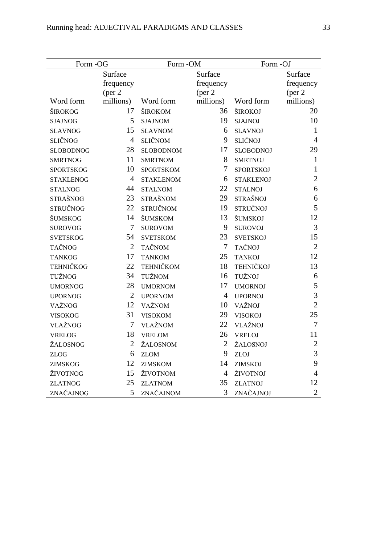| Form -OG         |                | Form -OM         |                | Form -OJ         |                |
|------------------|----------------|------------------|----------------|------------------|----------------|
|                  | Surface        |                  | Surface        |                  | Surface        |
|                  | frequency      |                  | frequency      |                  | frequency      |
|                  | (per 2)        |                  | (per 2)        |                  | (per 2)        |
| Word form        | millions)      | Word form        | millions)      | Word form        | millions)      |
| ŠIROKOG          | 17             | ŠIROKOM          | 36             | ŠIROKOJ          | 20             |
| <b>SJAJNOG</b>   | 5              | <b>SJAJNOM</b>   | 19             | <b>SJAJNOJ</b>   | 10             |
| <b>SLAVNOG</b>   | 15             | <b>SLAVNOM</b>   | 6              | <b>SLAVNOJ</b>   | $\mathbf{1}$   |
| <b>SLIČNOG</b>   | $\overline{4}$ | <b>SLIČNOM</b>   | 9              | <b>SLIČNOJ</b>   | $\overline{4}$ |
| <b>SLOBODNOG</b> | 28             | <b>SLOBODNOM</b> | 17             | <b>SLOBODNOJ</b> | 29             |
| <b>SMRTNOG</b>   | 11             | <b>SMRTNOM</b>   | 8              | <b>SMRTNOJ</b>   | 1              |
| <b>SPORTSKOG</b> | 10             | <b>SPORTSKOM</b> | 7              | <b>SPORTSKOJ</b> | 1              |
| <b>STAKLENOG</b> | $\overline{4}$ | <b>STAKLENOM</b> | 6              | <b>STAKLENOJ</b> | $\overline{2}$ |
| <b>STALNOG</b>   | 44             | <b>STALNOM</b>   | 22             | <b>STALNOJ</b>   | 6              |
| STRAŠNOG         | 23             | <b>STRAŠNOM</b>  | 29             | STRAŠNOJ         | 6              |
| STRUČNOG         | 22             | <b>STRUČNOM</b>  | 19             | <b>STRUČNOJ</b>  | 5              |
| ŠUMSKOG          | 14             | <b>ŠUMSKOM</b>   | 13             | <b>ŠUMSKOJ</b>   | 12             |
| <b>SUROVOG</b>   | 7              | <b>SUROVOM</b>   | 9              | <b>SUROVOJ</b>   | 3              |
| <b>SVETSKOG</b>  | 54             | <b>SVETSKOM</b>  | 23             | <b>SVETSKOJ</b>  | 15             |
| TAČNOG           | $\overline{2}$ | <b>TAČNOM</b>    | 7              | TAČNOJ           | $\overline{2}$ |
| <b>TANKOG</b>    | 17             | <b>TANKOM</b>    | 25             | <b>TANKOJ</b>    | 12             |
| TEHNIČKOG        | 22             | TEHNIČKOM        | 18             | TEHNIČKOJ        | 13             |
| TUŽNOG           | 34             | TUŽNOM           | 16             | TUŽNOJ           | 6              |
| <b>UMORNOG</b>   | 28             | <b>UMORNOM</b>   | 17             | <b>UMORNOJ</b>   | 5              |
| <b>UPORNOG</b>   | $\overline{2}$ | <b>UPORNOM</b>   | $\overline{4}$ | <b>UPORNOJ</b>   | 3              |
| VAŽNOG           | 12             | VAŽNOM           | 10             | VAŽNOJ           | $\overline{2}$ |
| <b>VISOKOG</b>   | 31             | <b>VISOKOM</b>   | 29             | <b>VISOKOJ</b>   | 25             |
| VLAŽNOG          | 7              | VLAŽNOM          | 22             | <b>VLAŽNOJ</b>   | $\overline{7}$ |
| <b>VRELOG</b>    | 18             | <b>VRELOM</b>    | 26             | <b>VRELOJ</b>    | 11             |
| ŽALOSNOG         | $\overline{2}$ | ŽALOSNOM         | $\overline{2}$ | ŽALOSNOJ         | $\overline{2}$ |
| <b>ZLOG</b>      | 6              | <b>ZLOM</b>      | 9              | <b>ZLOJ</b>      | 3              |
| <b>ZIMSKOG</b>   | 12             | <b>ZIMSKOM</b>   | 14             | <b>ZIMSKOJ</b>   | 9              |
| ŽIVOTNOG         | 15             | ŽIVOTNOM         | 4              | ŽIVOTNOJ         | 4              |
| <b>ZLATNOG</b>   | 25             | <b>ZLATNOM</b>   | 35             | <b>ZLATNOJ</b>   | 12             |
| ZNAČAJNOG        | 5              | ZNAČAJNOM        | 3              | ZNAČAJNOJ        | $\overline{2}$ |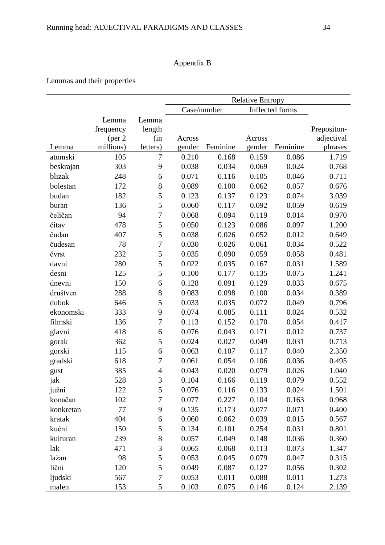# Appendix B

## Lemmas and their properties

|           |           |                  | <b>Relative Entropy</b> |          |        |                 |             |
|-----------|-----------|------------------|-------------------------|----------|--------|-----------------|-------------|
|           |           |                  | Case/number             |          |        | Inflected forms |             |
|           | Lemma     | Lemma            |                         |          |        |                 |             |
|           | frequency | length           |                         |          |        |                 | Prepositon- |
|           | (per 2)   | (in              | Across                  |          | Across |                 | adjectival  |
| Lemma     | millions) | letters)         | gender                  | Feminine | gender | Feminine        | phrases     |
| atomski   | 105       | $\tau$           | 0.210                   | 0.168    | 0.159  | 0.086           | 1.719       |
| beskrajan | 303       | 9                | 0.038                   | 0.034    | 0.069  | 0.024           | 0.768       |
| blizak    | 248       | 6                | 0.071                   | 0.116    | 0.105  | 0.046           | 0.711       |
| bolestan  | 172       | $8\,$            | 0.089                   | 0.100    | 0.062  | 0.057           | 0.676       |
| budan     | 182       | 5                | 0.123                   | 0.137    | 0.123  | 0.074           | 3.039       |
| buran     | 136       | 5                | 0.060                   | 0.117    | 0.092  | 0.059           | 0.619       |
| čeličan   | 94        | $\overline{7}$   | 0.068                   | 0.094    | 0.119  | 0.014           | 0.970       |
| čitav     | 478       | 5                | 0.050                   | 0.123    | 0.086  | 0.097           | 1.200       |
| čudan     | 407       | 5                | 0.038                   | 0.026    | 0.052  | 0.012           | 0.649       |
| čudesan   | 78        | $\boldsymbol{7}$ | 0.030                   | 0.026    | 0.061  | 0.034           | 0.522       |
| čvrst     | 232       | 5                | 0.035                   | 0.090    | 0.059  | 0.058           | 0.481       |
| davni     | 280       | 5                | 0.022                   | 0.035    | 0.167  | 0.031           | 1.589       |
| desni     | 125       | 5                | 0.100                   | 0.177    | 0.135  | 0.075           | 1.241       |
| dnevni    | 150       | 6                | 0.128                   | 0.091    | 0.129  | 0.033           | 0.675       |
| društven  | 288       | 8                | 0.083                   | 0.098    | 0.100  | 0.034           | 0.389       |
| dubok     | 646       | 5                | 0.033                   | 0.035    | 0.072  | 0.049           | 0.796       |
| ekonomski | 333       | $\mathbf{9}$     | 0.074                   | 0.085    | 0.111  | 0.024           | 0.532       |
| filmski   | 136       | $\boldsymbol{7}$ | 0.113                   | 0.152    | 0.170  | 0.054           | 0.417       |
| glavni    | 418       | 6                | 0.076                   | 0.043    | 0.171  | 0.012           | 0.737       |
| gorak     | 362       | 5                | 0.024                   | 0.027    | 0.049  | 0.031           | 0.713       |
| gorski    | 115       | 6                | 0.063                   | 0.107    | 0.117  | 0.040           | 2.350       |
| gradski   | 618       | $\tau$           | 0.061                   | 0.054    | 0.106  | 0.036           | 0.495       |
| gust      | 385       | $\overline{4}$   | 0.043                   | 0.020    | 0.079  | 0.026           | 1.040       |
| jak       | 528       | 3                | 0.104                   | 0.166    | 0.119  | 0.079           | 0.552       |
| južni     | 122       | 5                | 0.076                   | 0.116    | 0.133  | 0.024           | 1.501       |
| konačan   | 102       | $\boldsymbol{7}$ | 0.077                   | 0.227    | 0.104  | 0.163           | 0.968       |
| konkretan | 77        | $\mathbf{9}$     | 0.135                   | 0.173    | 0.077  | 0.071           | 0.400       |
| kratak    | 404       | 6                | 0.060                   | 0.062    | 0.039  | 0.015           | 0.567       |
| kućni     | 150       | 5                | 0.134                   | 0.101    | 0.254  | 0.031           | 0.801       |
| kulturan  | 239       | 8                | 0.057                   | 0.049    | 0.148  | 0.036           | 0.360       |
| lak       | 471       | 3                | 0.065                   | 0.068    | 0.113  | 0.073           | 1.347       |
| lažan     | 98        | 5                | 0.053                   | 0.045    | 0.079  | 0.047           | 0.315       |
| lični     | 120       | 5                | 0.049                   | 0.087    | 0.127  | 0.056           | 0.302       |
| ljudski   | 567       | $\boldsymbol{7}$ | 0.053                   | 0.011    | 0.088  | 0.011           | 1.273       |
| malen     | 153       | 5                | 0.103                   | 0.075    | 0.146  | 0.124           | 2.139       |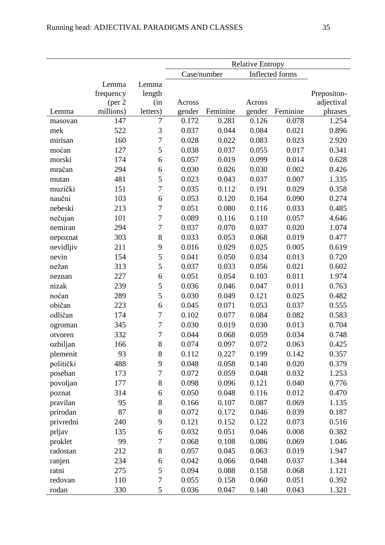|           |           |                  | <b>Relative Entropy</b> |             |        |                 |             |
|-----------|-----------|------------------|-------------------------|-------------|--------|-----------------|-------------|
|           |           |                  |                         | Case/number |        | Inflected forms |             |
|           | Lemma     | Lemma            |                         |             |        |                 |             |
|           | frequency | length           |                         |             |        |                 | Prepositon- |
|           | (per 2)   | (in              | Across                  |             | Across |                 | adjectival  |
| Lemma     | millions) | letters)         | gender                  | Feminine    | gender | Feminine        | phrases     |
| masovan   | 147       | $\overline{7}$   | 0.172                   | 0.281       | 0.126  | 0.078           | 1.254       |
| mek       | 522       | 3                | 0.037                   | 0.044       | 0.084  | 0.021           | 0.896       |
| mirisan   | 160       | $\overline{7}$   | 0.028                   | 0.022       | 0.083  | 0.023           | 2.920       |
| moćan     | 127       | 5                | 0.038                   | 0.037       | 0.055  | 0.017           | 0.341       |
| morski    | 174       | 6                | 0.057                   | 0.019       | 0.099  | 0.014           | 0.628       |
| mračan    | 294       | 6                | 0.030                   | 0.026       | 0.030  | 0.002           | 0.426       |
| mutan     | 481       | 5                | 0.023                   | 0.043       | 0.037  | 0.007           | 1.335       |
| muzički   | 151       | $\overline{7}$   | 0.035                   | 0.112       | 0.191  | 0.029           | 0.358       |
| naučni    | 103       | 6                | 0.053                   | 0.120       | 0.164  | 0.090           | 0.274       |
| nebeski   | 213       | $\overline{7}$   | 0.051                   | 0.080       | 0.116  | 0.033           | 0.485       |
| nečujan   | 101       | $\overline{7}$   | 0.089                   | 0.116       | 0.110  | 0.057           | 4.646       |
| nemiran   | 294       | $\boldsymbol{7}$ | 0.037                   | 0.070       | 0.037  | 0.020           | 1.074       |
| nepoznat  | 303       | 8                | 0.033                   | 0.053       | 0.068  | 0.019           | 0.477       |
| nevidljiv | 211       | 9                | 0.016                   | 0.029       | 0.025  | 0.005           | 0.619       |
| nevin     | 154       | 5                | 0.041                   | 0.050       | 0.034  | 0.013           | 0.720       |
| nežan     | 313       | 5                | 0.037                   | 0.033       | 0.056  | 0.021           | 0.602       |
| neznan    | 227       | 6                | 0.051                   | 0.054       | 0.103  | 0.011           | 1.974       |
| nizak     | 239       | 5                | 0.036                   | 0.046       | 0.047  | 0.011           | 0.763       |
| noćan     | 289       | 5                | 0.030                   | 0.049       | 0.121  | 0.025           | 0.482       |
| običan    | 223       | 6                | 0.045                   | 0.071       | 0.053  | 0.037           | 0.555       |
| odličan   | 174       | $\overline{7}$   | 0.102                   | 0.077       | 0.084  | 0.082           | 0.583       |
| ogroman   | 345       | $\boldsymbol{7}$ | 0.030                   | 0.019       | 0.030  | 0.013           | 0.704       |
| otvoren   | 332       | $\overline{7}$   | 0.044                   | 0.068       | 0.059  | 0.034           | 0.748       |
| ozbiljan  | 166       | 8                | 0.074                   | 0.097       | 0.072  | 0.063           | 0.425       |
| plemenit  | 93        | $8\,$            | 0.112                   | 0.227       | 0.199  | 0.142           | 0.357       |
| politički | 488       | 9                | 0.048                   | 0.058       | 0.140  | 0.020           | 0.379       |
| poseban   | 173       | $\boldsymbol{7}$ | 0.072                   | 0.059       | 0.048  | 0.032           | 1.253       |
| povoljan  | 177       | $8\,$            | 0.098                   | 0.096       | 0.121  | 0.040           | 0.776       |
| poznat    | 314       | 6                | 0.050                   | 0.048       | 0.116  | 0.012           | 0.470       |
| pravilan  | 95        | $8\,$            | 0.166                   | 0.107       | 0.087  | 0.069           | 1.135       |
| prirodan  | 87        | $8\,$            | 0.072                   | 0.172       | 0.046  | 0.039           | 0.187       |
| privredni | 240       | $\mathbf{9}$     | 0.121                   | 0.152       | 0.122  | 0.073           | 0.516       |
| prljav    | 135       | 6                | 0.032                   | 0.051       | 0.046  | 0.008           | 0.382       |
| proklet   | 99        | $\boldsymbol{7}$ | 0.068                   | 0.108       | 0.086  | 0.069           | 1.046       |
| radostan  | 212       | $8\,$            | 0.057                   | 0.045       | 0.063  | 0.019           | 1.947       |
| ranjen    | 234       | 6                | 0.042                   | 0.066       | 0.048  | 0.037           | 1.344       |
| ratni     | 275       | 5                | 0.094                   | 0.088       | 0.158  | 0.068           | 1.121       |
| redovan   | 110       | $\boldsymbol{7}$ | 0.055                   | 0.158       | 0.060  | 0.051           | 0.392       |
| rodan     | 330       | 5                | 0.036                   | 0.047       | 0.140  | 0.043           | 1.321       |